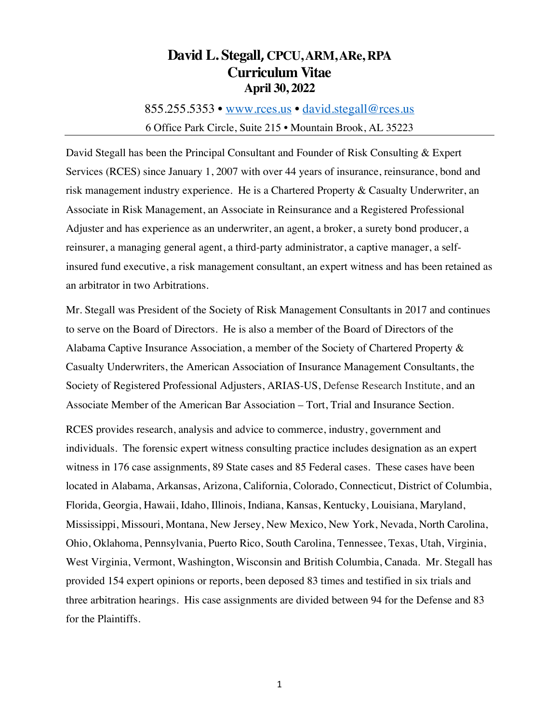### **David L. Stegall, CPCU, ARM, ARe, RPA Curriculum Vitae April 30, 2022**

855.255.5353 • www.rces.us • david.stegall@rces.us 6 Office Park Circle, Suite 215 • Mountain Brook, AL 35223

David Stegall has been the Principal Consultant and Founder of Risk Consulting & Expert Services (RCES) since January 1, 2007 with over 44 years of insurance, reinsurance, bond and risk management industry experience. He is a Chartered Property & Casualty Underwriter, an Associate in Risk Management, an Associate in Reinsurance and a Registered Professional Adjuster and has experience as an underwriter, an agent, a broker, a surety bond producer, a reinsurer, a managing general agent, a third-party administrator, a captive manager, a selfinsured fund executive, a risk management consultant, an expert witness and has been retained as an arbitrator in two Arbitrations.

Mr. Stegall was President of the Society of Risk Management Consultants in 2017 and continues to serve on the Board of Directors. He is also a member of the Board of Directors of the Alabama Captive Insurance Association, a member of the Society of Chartered Property & Casualty Underwriters, the American Association of Insurance Management Consultants, the Society of Registered Professional Adjusters, ARIAS-US, Defense Research Institute, and an Associate Member of the American Bar Association – Tort, Trial and Insurance Section.

RCES provides research, analysis and advice to commerce, industry, government and individuals. The forensic expert witness consulting practice includes designation as an expert witness in 176 case assignments, 89 State cases and 85 Federal cases. These cases have been located in Alabama, Arkansas, Arizona, California, Colorado, Connecticut, District of Columbia, Florida, Georgia, Hawaii, Idaho, Illinois, Indiana, Kansas, Kentucky, Louisiana, Maryland, Mississippi, Missouri, Montana, New Jersey, New Mexico, New York, Nevada, North Carolina, Ohio, Oklahoma, Pennsylvania, Puerto Rico, South Carolina, Tennessee, Texas, Utah, Virginia, West Virginia, Vermont, Washington, Wisconsin and British Columbia, Canada. Mr. Stegall has provided 154 expert opinions or reports, been deposed 83 times and testified in six trials and three arbitration hearings. His case assignments are divided between 94 for the Defense and 83 for the Plaintiffs.

1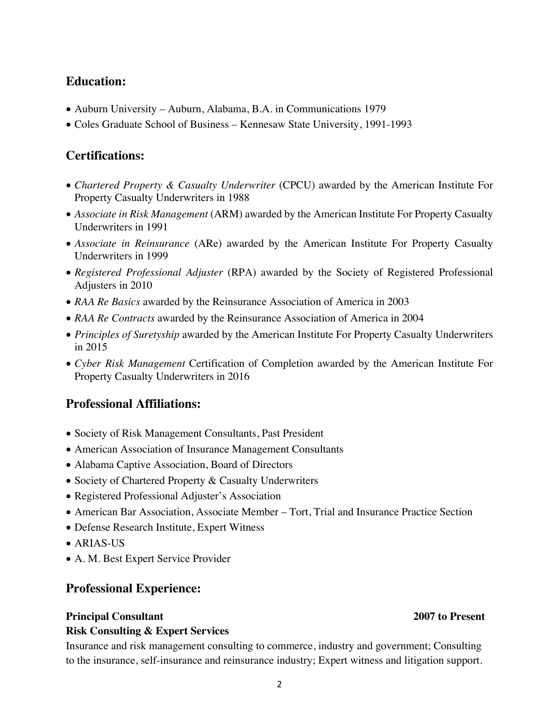### **Education:**

- Auburn University Auburn, Alabama, B.A. in Communications 1979
- Coles Graduate School of Business Kennesaw State University, 1991-1993

### **Certifications:**

- *Chartered Property & Casualty Underwriter* (CPCU) awarded by the American Institute For Property Casualty Underwriters in 1988
- *Associate in Risk Management* (ARM) awarded by the American Institute For Property Casualty Underwriters in 1991
- *Associate in Reinsurance* (ARe) awarded by the American Institute For Property Casualty Underwriters in 1999
- *Registered Professional Adjuster* (RPA) awarded by the Society of Registered Professional Adjusters in 2010
- *RAA Re Basics* awarded by the Reinsurance Association of America in 2003
- *RAA Re Contracts* awarded by the Reinsurance Association of America in 2004
- *Principles of Suretyship* awarded by the American Institute For Property Casualty Underwriters in 2015
- *Cyber Risk Management* Certification of Completion awarded by the American Institute For Property Casualty Underwriters in 2016

### **Professional Affiliations:**

- Society of Risk Management Consultants, Past President
- American Association of Insurance Management Consultants
- Alabama Captive Association, Board of Directors
- Society of Chartered Property & Casualty Underwriters
- Registered Professional Adjuster's Association
- American Bar Association, Associate Member Tort, Trial and Insurance Practice Section
- Defense Research Institute, Expert Witness
- ARIAS-US
- A. M. Best Expert Service Provider

**Risk Consulting & Expert Services** 

### **Professional Experience:**

#### **Principal Consultant 2007 to Present**

### Insurance and risk management consulting to commerce, industry and government; Consulting to the insurance, self-insurance and reinsurance industry; Expert witness and litigation support.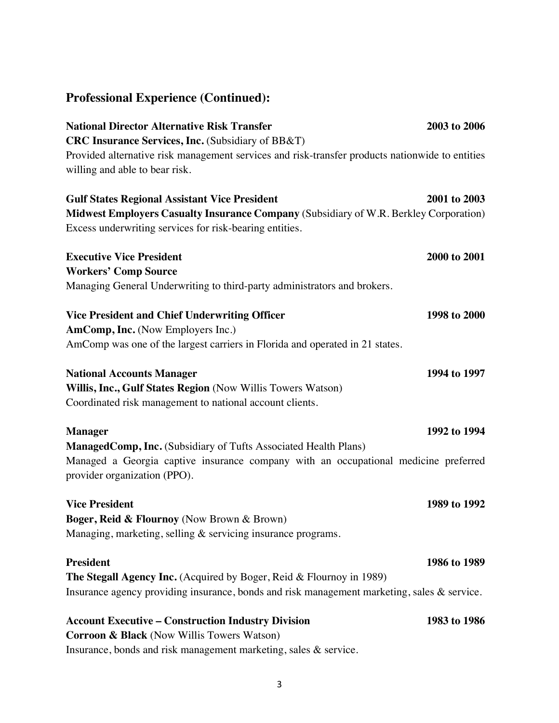# **Professional Experience (Continued):**

| <b>National Director Alternative Risk Transfer</b>                                                                  | 2003 to 2006 |
|---------------------------------------------------------------------------------------------------------------------|--------------|
| <b>CRC Insurance Services, Inc.</b> (Subsidiary of BB&T)                                                            |              |
| Provided alternative risk management services and risk-transfer products nationwide to entities                     |              |
| willing and able to bear risk.                                                                                      |              |
| <b>Gulf States Regional Assistant Vice President</b>                                                                | 2001 to 2003 |
| Midwest Employers Casualty Insurance Company (Subsidiary of W.R. Berkley Corporation)                               |              |
| Excess underwriting services for risk-bearing entities.                                                             |              |
| <b>Executive Vice President</b>                                                                                     | 2000 to 2001 |
| <b>Workers' Comp Source</b>                                                                                         |              |
| Managing General Underwriting to third-party administrators and brokers.                                            |              |
| <b>Vice President and Chief Underwriting Officer</b>                                                                | 1998 to 2000 |
| AmComp, Inc. (Now Employers Inc.)                                                                                   |              |
| AmComp was one of the largest carriers in Florida and operated in 21 states.                                        |              |
| <b>National Accounts Manager</b>                                                                                    | 1994 to 1997 |
| Willis, Inc., Gulf States Region (Now Willis Towers Watson)                                                         |              |
| Coordinated risk management to national account clients.                                                            |              |
| <b>Manager</b>                                                                                                      | 1992 to 1994 |
| ManagedComp, Inc. (Subsidiary of Tufts Associated Health Plans)                                                     |              |
| Managed a Georgia captive insurance company with an occupational medicine preferred<br>provider organization (PPO). |              |
| <b>Vice President</b>                                                                                               | 1989 to 1992 |
| Boger, Reid & Flournoy (Now Brown & Brown)                                                                          |              |
| Managing, marketing, selling & servicing insurance programs.                                                        |              |
| <b>President</b>                                                                                                    | 1986 to 1989 |
| The Stegall Agency Inc. (Acquired by Boger, Reid & Flournoy in 1989)                                                |              |
| Insurance agency providing insurance, bonds and risk management marketing, sales & service.                         |              |
| <b>Account Executive – Construction Industry Division</b>                                                           | 1983 to 1986 |
| <b>Corroon &amp; Black</b> (Now Willis Towers Watson)                                                               |              |
| Insurance, bonds and risk management marketing, sales & service.                                                    |              |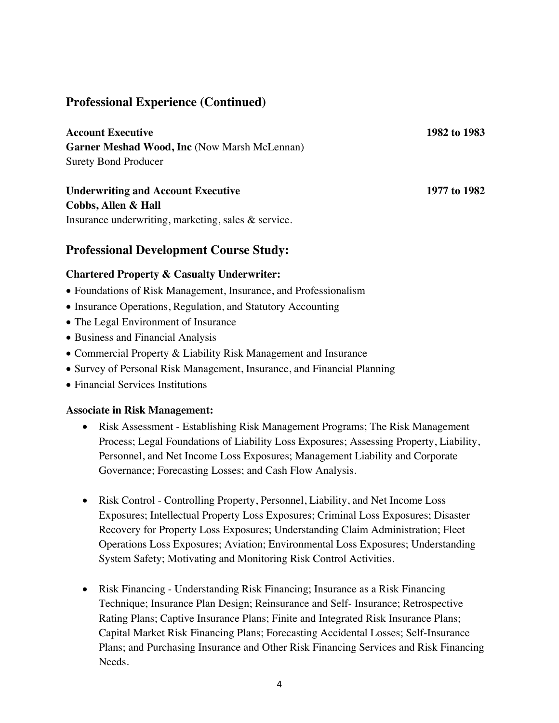### **Professional Experience (Continued)**

**Account Executive 1982 to 1983 Garner Meshad Wood, Inc** (Now Marsh McLennan) Surety Bond Producer

**Underwriting and Account Executive 1977 to 1982 Cobbs, Allen & Hall** Insurance underwriting, marketing, sales & service.

#### **Professional Development Course Study:**

#### **Chartered Property & Casualty Underwriter:**

- Foundations of Risk Management, Insurance, and Professionalism
- Insurance Operations, Regulation, and Statutory Accounting
- The Legal Environment of Insurance
- Business and Financial Analysis
- Commercial Property & Liability Risk Management and Insurance
- Survey of Personal Risk Management, Insurance, and Financial Planning
- Financial Services Institutions

#### **Associate in Risk Management:**

- Risk Assessment Establishing Risk Management Programs; The Risk Management Process; Legal Foundations of Liability Loss Exposures; Assessing Property, Liability, Personnel, and Net Income Loss Exposures; Management Liability and Corporate Governance; Forecasting Losses; and Cash Flow Analysis.
- Risk Control Controlling Property, Personnel, Liability, and Net Income Loss Exposures; Intellectual Property Loss Exposures; Criminal Loss Exposures; Disaster Recovery for Property Loss Exposures; Understanding Claim Administration; Fleet Operations Loss Exposures; Aviation; Environmental Loss Exposures; Understanding System Safety; Motivating and Monitoring Risk Control Activities.
- Risk Financing Understanding Risk Financing; Insurance as a Risk Financing Technique; Insurance Plan Design; Reinsurance and Self- Insurance; Retrospective Rating Plans; Captive Insurance Plans; Finite and Integrated Risk Insurance Plans; Capital Market Risk Financing Plans; Forecasting Accidental Losses; Self-Insurance Plans; and Purchasing Insurance and Other Risk Financing Services and Risk Financing Needs.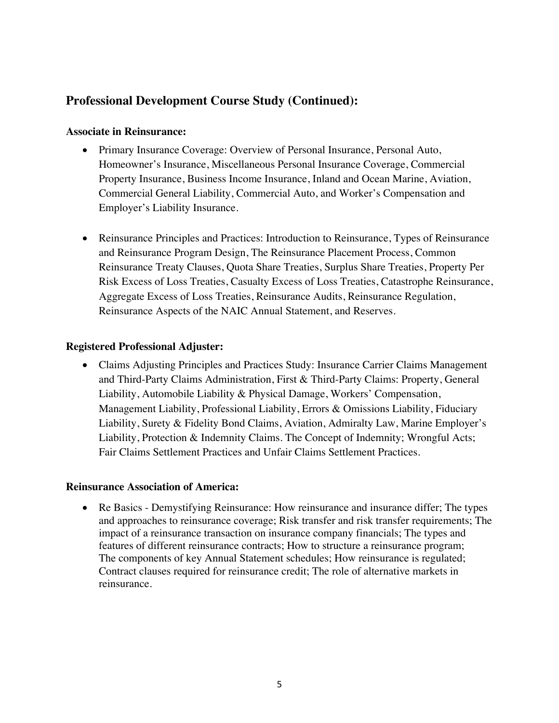### **Professional Development Course Study (Continued):**

#### **Associate in Reinsurance:**

- Primary Insurance Coverage: Overview of Personal Insurance, Personal Auto, Homeowner's Insurance, Miscellaneous Personal Insurance Coverage, Commercial Property Insurance, Business Income Insurance, Inland and Ocean Marine, Aviation, Commercial General Liability, Commercial Auto, and Worker's Compensation and Employer's Liability Insurance.
- Reinsurance Principles and Practices: Introduction to Reinsurance, Types of Reinsurance and Reinsurance Program Design, The Reinsurance Placement Process, Common Reinsurance Treaty Clauses, Quota Share Treaties, Surplus Share Treaties, Property Per Risk Excess of Loss Treaties, Casualty Excess of Loss Treaties, Catastrophe Reinsurance, Aggregate Excess of Loss Treaties, Reinsurance Audits, Reinsurance Regulation, Reinsurance Aspects of the NAIC Annual Statement, and Reserves.

#### **Registered Professional Adjuster:**

• Claims Adjusting Principles and Practices Study: Insurance Carrier Claims Management and Third-Party Claims Administration, First & Third-Party Claims: Property, General Liability, Automobile Liability & Physical Damage, Workers' Compensation, Management Liability, Professional Liability, Errors & Omissions Liability, Fiduciary Liability, Surety & Fidelity Bond Claims, Aviation, Admiralty Law, Marine Employer's Liability, Protection & Indemnity Claims. The Concept of Indemnity; Wrongful Acts; Fair Claims Settlement Practices and Unfair Claims Settlement Practices.

#### **Reinsurance Association of America:**

• Re Basics - Demystifying Reinsurance: How reinsurance and insurance differ; The types and approaches to reinsurance coverage; Risk transfer and risk transfer requirements; The impact of a reinsurance transaction on insurance company financials; The types and features of different reinsurance contracts; How to structure a reinsurance program; The components of key Annual Statement schedules; How reinsurance is regulated; Contract clauses required for reinsurance credit; The role of alternative markets in reinsurance.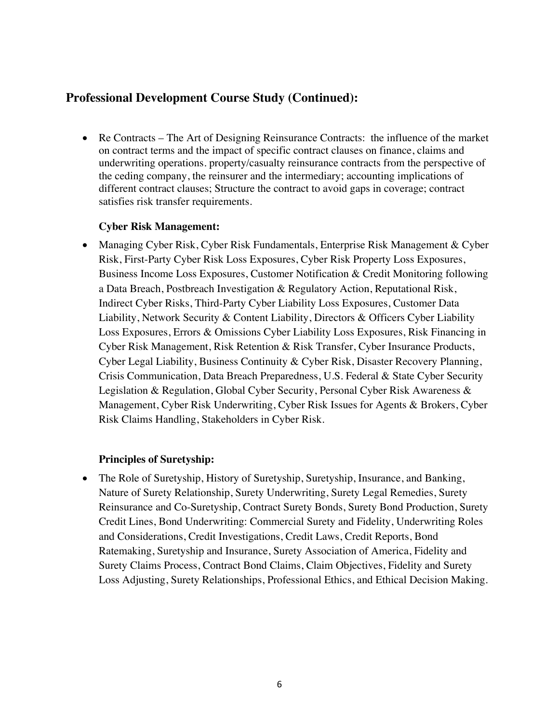### **Professional Development Course Study (Continued):**

• Re Contracts – The Art of Designing Reinsurance Contracts: the influence of the market on contract terms and the impact of specific contract clauses on finance, claims and underwriting operations. property/casualty reinsurance contracts from the perspective of the ceding company, the reinsurer and the intermediary; accounting implications of different contract clauses; Structure the contract to avoid gaps in coverage; contract satisfies risk transfer requirements.

#### **Cyber Risk Management:**

• Managing Cyber Risk, Cyber Risk Fundamentals, Enterprise Risk Management & Cyber Risk, First-Party Cyber Risk Loss Exposures, Cyber Risk Property Loss Exposures, Business Income Loss Exposures, Customer Notification & Credit Monitoring following a Data Breach, Postbreach Investigation & Regulatory Action, Reputational Risk, Indirect Cyber Risks, Third-Party Cyber Liability Loss Exposures, Customer Data Liability, Network Security & Content Liability, Directors & Officers Cyber Liability Loss Exposures, Errors & Omissions Cyber Liability Loss Exposures, Risk Financing in Cyber Risk Management, Risk Retention & Risk Transfer, Cyber Insurance Products, Cyber Legal Liability, Business Continuity & Cyber Risk, Disaster Recovery Planning, Crisis Communication, Data Breach Preparedness, U.S. Federal & State Cyber Security Legislation & Regulation, Global Cyber Security, Personal Cyber Risk Awareness & Management, Cyber Risk Underwriting, Cyber Risk Issues for Agents & Brokers, Cyber Risk Claims Handling, Stakeholders in Cyber Risk.

#### **Principles of Suretyship:**

• The Role of Suretyship, History of Suretyship, Suretyship, Insurance, and Banking, Nature of Surety Relationship, Surety Underwriting, Surety Legal Remedies, Surety Reinsurance and Co-Suretyship, Contract Surety Bonds, Surety Bond Production, Surety Credit Lines, Bond Underwriting: Commercial Surety and Fidelity, Underwriting Roles and Considerations, Credit Investigations, Credit Laws, Credit Reports, Bond Ratemaking, Suretyship and Insurance, Surety Association of America, Fidelity and Surety Claims Process, Contract Bond Claims, Claim Objectives, Fidelity and Surety Loss Adjusting, Surety Relationships, Professional Ethics, and Ethical Decision Making.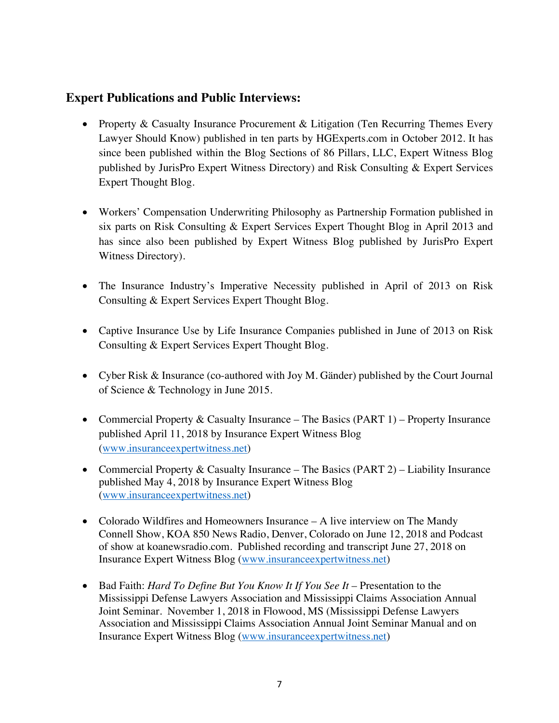### **Expert Publications and Public Interviews:**

- Property & Casualty Insurance Procurement & Litigation (Ten Recurring Themes Every Lawyer Should Know) published in ten parts by HGExperts.com in October 2012. It has since been published within the Blog Sections of 86 Pillars, LLC, Expert Witness Blog published by JurisPro Expert Witness Directory) and Risk Consulting & Expert Services Expert Thought Blog.
- Workers' Compensation Underwriting Philosophy as Partnership Formation published in six parts on Risk Consulting & Expert Services Expert Thought Blog in April 2013 and has since also been published by Expert Witness Blog published by JurisPro Expert Witness Directory).
- The Insurance Industry's Imperative Necessity published in April of 2013 on Risk Consulting & Expert Services Expert Thought Blog.
- Captive Insurance Use by Life Insurance Companies published in June of 2013 on Risk Consulting & Expert Services Expert Thought Blog.
- Cyber Risk & Insurance (co-authored with Joy M. Gänder) published by the Court Journal of Science & Technology in June 2015.
- Commercial Property & Casualty Insurance The Basics (PART 1) Property Insurance published April 11, 2018 by Insurance Expert Witness Blog (www.insuranceexpertwitness.net)
- Commercial Property & Casualty Insurance The Basics (PART 2) Liability Insurance published May 4, 2018 by Insurance Expert Witness Blog (www.insuranceexpertwitness.net)
- Colorado Wildfires and Homeowners Insurance A live interview on The Mandy Connell Show, KOA 850 News Radio, Denver, Colorado on June 12, 2018 and Podcast of show at koanewsradio.com. Published recording and transcript June 27, 2018 on Insurance Expert Witness Blog (www.insuranceexpertwitness.net)
- Bad Faith: *Hard To Define But You Know It If You See It* Presentation to the Mississippi Defense Lawyers Association and Mississippi Claims Association Annual Joint Seminar. November 1, 2018 in Flowood, MS (Mississippi Defense Lawyers Association and Mississippi Claims Association Annual Joint Seminar Manual and on Insurance Expert Witness Blog (www.insuranceexpertwitness.net)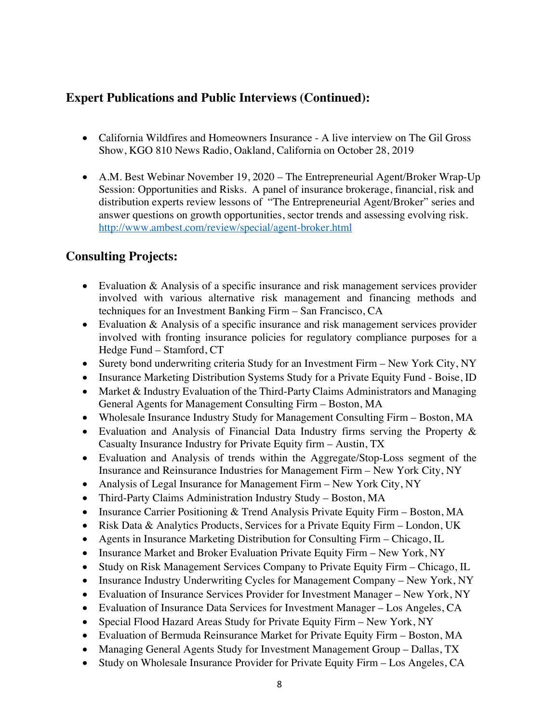### **Expert Publications and Public Interviews (Continued):**

- California Wildfires and Homeowners Insurance A live interview on The Gil Gross Show, KGO 810 News Radio, Oakland, California on October 28, 2019
- A.M. Best Webinar November 19, 2020 The Entrepreneurial Agent/Broker Wrap-Up Session: Opportunities and Risks. A panel of insurance brokerage, financial, risk and distribution experts review lessons of "The Entrepreneurial Agent/Broker" series and answer questions on growth opportunities, sector trends and assessing evolving risk. http://www.ambest.com/review/special/agent-broker.html

### **Consulting Projects:**

- Evaluation & Analysis of a specific insurance and risk management services provider involved with various alternative risk management and financing methods and techniques for an Investment Banking Firm – San Francisco, CA
- Evaluation & Analysis of a specific insurance and risk management services provider involved with fronting insurance policies for regulatory compliance purposes for a Hedge Fund – Stamford, CT
- Surety bond underwriting criteria Study for an Investment Firm New York City, NY
- Insurance Marketing Distribution Systems Study for a Private Equity Fund Boise, ID
- Market & Industry Evaluation of the Third-Party Claims Administrators and Managing General Agents for Management Consulting Firm – Boston, MA
- Wholesale Insurance Industry Study for Management Consulting Firm Boston, MA
- Evaluation and Analysis of Financial Data Industry firms serving the Property & Casualty Insurance Industry for Private Equity firm – Austin, TX
- Evaluation and Analysis of trends within the Aggregate/Stop-Loss segment of the Insurance and Reinsurance Industries for Management Firm – New York City, NY
- Analysis of Legal Insurance for Management Firm New York City, NY
- Third-Party Claims Administration Industry Study Boston, MA
- Insurance Carrier Positioning & Trend Analysis Private Equity Firm Boston, MA
- Risk Data & Analytics Products, Services for a Private Equity Firm London, UK
- Agents in Insurance Marketing Distribution for Consulting Firm Chicago, IL
- Insurance Market and Broker Evaluation Private Equity Firm New York, NY
- Study on Risk Management Services Company to Private Equity Firm Chicago, IL
- Insurance Industry Underwriting Cycles for Management Company New York, NY
- Evaluation of Insurance Services Provider for Investment Manager New York, NY
- Evaluation of Insurance Data Services for Investment Manager Los Angeles, CA
- Special Flood Hazard Areas Study for Private Equity Firm New York, NY
- Evaluation of Bermuda Reinsurance Market for Private Equity Firm Boston, MA
- Managing General Agents Study for Investment Management Group Dallas, TX
- Study on Wholesale Insurance Provider for Private Equity Firm Los Angeles, CA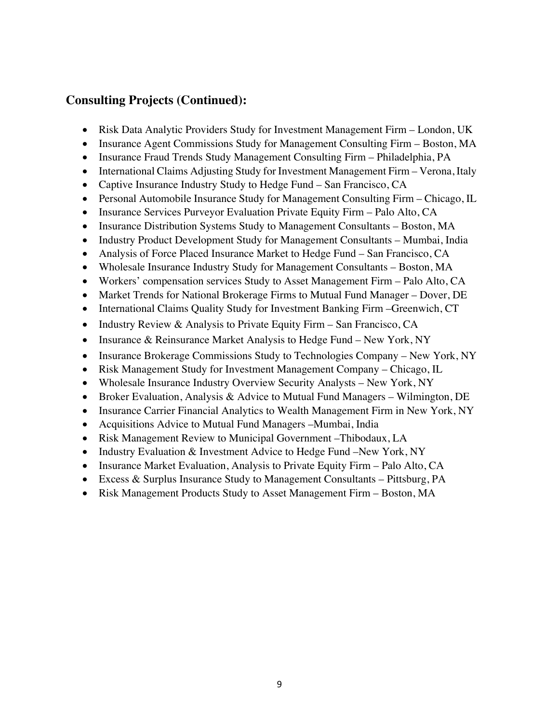### **Consulting Projects (Continued):**

- Risk Data Analytic Providers Study for Investment Management Firm London, UK
- Insurance Agent Commissions Study for Management Consulting Firm Boston, MA
- Insurance Fraud Trends Study Management Consulting Firm Philadelphia, PA
- International Claims Adjusting Study for Investment Management Firm Verona, Italy
- Captive Insurance Industry Study to Hedge Fund San Francisco, CA
- Personal Automobile Insurance Study for Management Consulting Firm Chicago, IL
- Insurance Services Purveyor Evaluation Private Equity Firm Palo Alto, CA
- Insurance Distribution Systems Study to Management Consultants Boston, MA
- Industry Product Development Study for Management Consultants Mumbai, India
- Analysis of Force Placed Insurance Market to Hedge Fund San Francisco, CA
- Wholesale Insurance Industry Study for Management Consultants Boston, MA
- Workers' compensation services Study to Asset Management Firm Palo Alto, CA
- Market Trends for National Brokerage Firms to Mutual Fund Manager Dover, DE
- International Claims Quality Study for Investment Banking Firm –Greenwich, CT
- Industry Review & Analysis to Private Equity Firm San Francisco, CA
- Insurance & Reinsurance Market Analysis to Hedge Fund New York, NY
- Insurance Brokerage Commissions Study to Technologies Company New York, NY
- Risk Management Study for Investment Management Company Chicago, IL
- Wholesale Insurance Industry Overview Security Analysts New York, NY
- Broker Evaluation, Analysis & Advice to Mutual Fund Managers Wilmington, DE
- Insurance Carrier Financial Analytics to Wealth Management Firm in New York, NY
- Acquisitions Advice to Mutual Fund Managers Mumbai, India
- Risk Management Review to Municipal Government –Thibodaux, LA
- Industry Evaluation & Investment Advice to Hedge Fund –New York, NY
- Insurance Market Evaluation, Analysis to Private Equity Firm Palo Alto, CA
- Excess & Surplus Insurance Study to Management Consultants Pittsburg, PA
- Risk Management Products Study to Asset Management Firm Boston, MA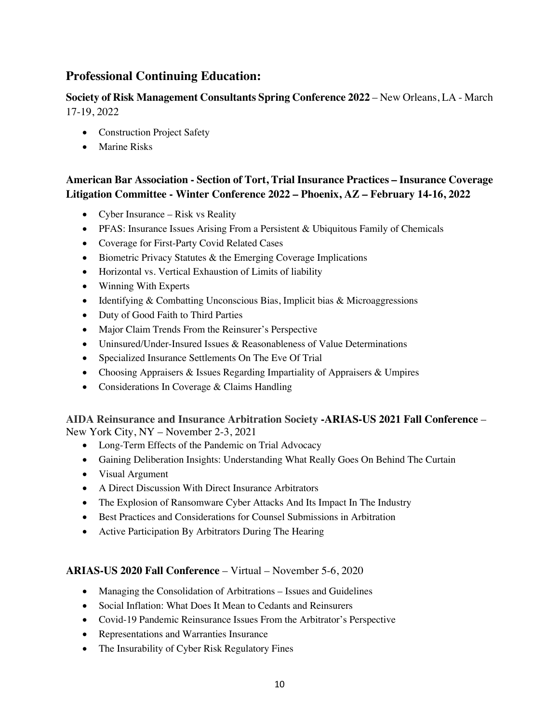### **Professional Continuing Education:**

**Society of Risk Management Consultants Spring Conference 2022** – New Orleans, LA - March 17-19, 2022

- Construction Project Safety
- Marine Risks

### **American Bar Association - Section of Tort, Trial Insurance Practices – Insurance Coverage Litigation Committee - Winter Conference 2022 – Phoenix, AZ – February 14-16, 2022**

- Cyber Insurance Risk vs Reality
- PFAS: Insurance Issues Arising From a Persistent & Ubiquitous Family of Chemicals
- Coverage for First-Party Covid Related Cases
- Biometric Privacy Statutes & the Emerging Coverage Implications
- Horizontal vs. Vertical Exhaustion of Limits of liability
- Winning With Experts
- Identifying & Combatting Unconscious Bias, Implicit bias & Microaggressions
- Duty of Good Faith to Third Parties
- Major Claim Trends From the Reinsurer's Perspective
- Uninsured/Under-Insured Issues & Reasonableness of Value Determinations
- Specialized Insurance Settlements On The Eve Of Trial
- Choosing Appraisers & Issues Regarding Impartiality of Appraisers & Umpires
- Considerations In Coverage & Claims Handling

# **AIDA Reinsurance and Insurance Arbitration Society -ARIAS-US 2021 Fall Conference** –

New York City, NY – November 2-3, 2021

- Long-Term Effects of the Pandemic on Trial Advocacy
- Gaining Deliberation Insights: Understanding What Really Goes On Behind The Curtain
- Visual Argument
- A Direct Discussion With Direct Insurance Arbitrators
- The Explosion of Ransomware Cyber Attacks And Its Impact In The Industry
- Best Practices and Considerations for Counsel Submissions in Arbitration
- Active Participation By Arbitrators During The Hearing

#### **ARIAS-US 2020 Fall Conference** – Virtual – November 5-6, 2020

- Managing the Consolidation of Arbitrations Issues and Guidelines
- Social Inflation: What Does It Mean to Cedants and Reinsurers
- Covid-19 Pandemic Reinsurance Issues From the Arbitrator's Perspective
- Representations and Warranties Insurance
- The Insurability of Cyber Risk Regulatory Fines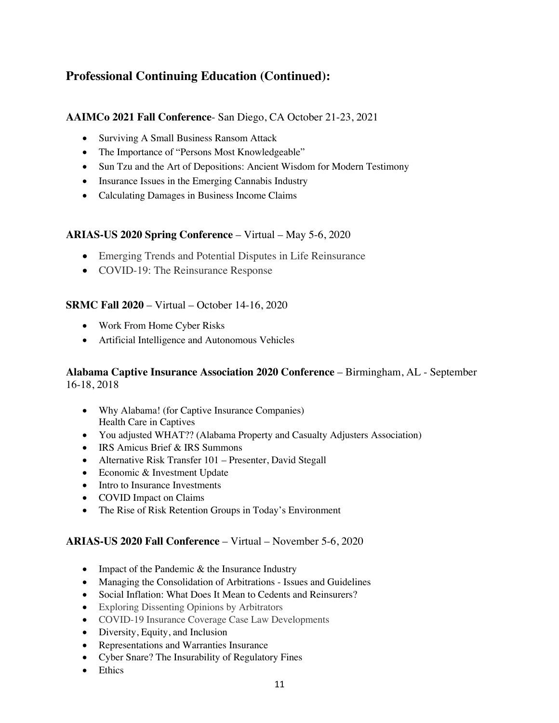#### **AAIMCo 2021 Fall Conference**- San Diego, CA October 21-23, 2021

- Surviving A Small Business Ransom Attack
- The Importance of "Persons Most Knowledgeable"
- Sun Tzu and the Art of Depositions: Ancient Wisdom for Modern Testimony
- Insurance Issues in the Emerging Cannabis Industry
- Calculating Damages in Business Income Claims

#### **ARIAS-US 2020 Spring Conference** – Virtual – May 5-6, 2020

- Emerging Trends and Potential Disputes in Life Reinsurance
- COVID-19: The Reinsurance Response

#### **SRMC Fall 2020** – Virtual – October 14-16, 2020

- Work From Home Cyber Risks
- Artificial Intelligence and Autonomous Vehicles

#### **Alabama Captive Insurance Association 2020 Conference** – Birmingham, AL - September 16-18, 2018

- Why Alabama! (for Captive Insurance Companies) Health Care in Captives
- You adjusted WHAT?? (Alabama Property and Casualty Adjusters Association)
- IRS Amicus Brief & IRS Summons
- Alternative Risk Transfer 101 Presenter, David Stegall
- Economic & Investment Update
- Intro to Insurance Investments
- COVID Impact on Claims
- The Rise of Risk Retention Groups in Today's Environment

#### **ARIAS-US 2020 Fall Conference** – Virtual – November 5-6, 2020

- Impact of the Pandemic & the Insurance Industry
- Managing the Consolidation of Arbitrations Issues and Guidelines
- Social Inflation: What Does It Mean to Cedents and Reinsurers?
- Exploring Dissenting Opinions by Arbitrators
- COVID-19 Insurance Coverage Case Law Developments
- Diversity, Equity, and Inclusion
- Representations and Warranties Insurance
- Cyber Snare? The Insurability of Regulatory Fines
- Ethics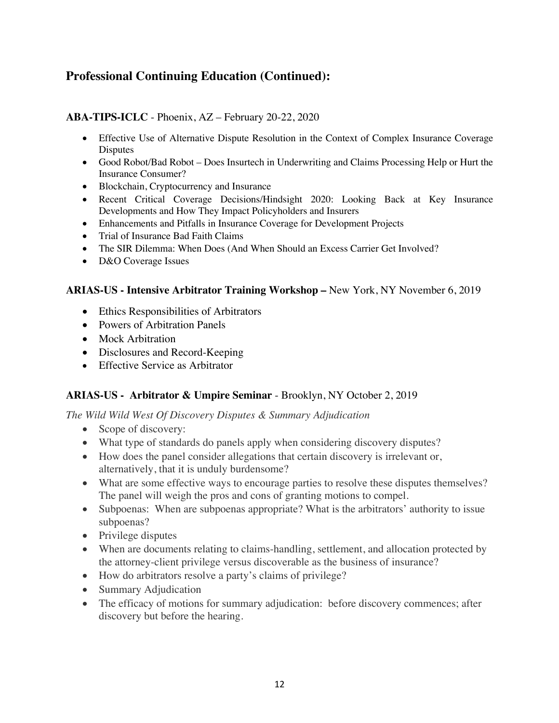#### **ABA-TIPS-ICLC** - Phoenix, AZ – February 20-22, 2020

- Effective Use of Alternative Dispute Resolution in the Context of Complex Insurance Coverage Disputes
- Good Robot/Bad Robot Does Insurtech in Underwriting and Claims Processing Help or Hurt the Insurance Consumer?
- Blockchain, Cryptocurrency and Insurance
- Recent Critical Coverage Decisions/Hindsight 2020: Looking Back at Key Insurance Developments and How They Impact Policyholders and Insurers
- Enhancements and Pitfalls in Insurance Coverage for Development Projects
- Trial of Insurance Bad Faith Claims
- The SIR Dilemma: When Does (And When Should an Excess Carrier Get Involved?
- D&O Coverage Issues

#### **ARIAS-US - Intensive Arbitrator Training Workshop –** New York, NY November 6, 2019

- Ethics Responsibilities of Arbitrators
- Powers of Arbitration Panels
- Mock Arbitration
- Disclosures and Record-Keeping
- Effective Service as Arbitrator

#### **ARIAS-US - Arbitrator & Umpire Seminar** - Brooklyn, NY October 2, 2019

*The Wild Wild West Of Discovery Disputes & Summary Adjudication*

- Scope of discovery:
- What type of standards do panels apply when considering discovery disputes?
- How does the panel consider allegations that certain discovery is irrelevant or, alternatively, that it is unduly burdensome?
- What are some effective ways to encourage parties to resolve these disputes themselves? The panel will weigh the pros and cons of granting motions to compel.
- Subpoenas: When are subpoenas appropriate? What is the arbitrators' authority to issue subpoenas?
- Privilege disputes
- When are documents relating to claims-handling, settlement, and allocation protected by the attorney-client privilege versus discoverable as the business of insurance?
- How do arbitrators resolve a party's claims of privilege?
- Summary Adjudication
- The efficacy of motions for summary adjudication: before discovery commences; after discovery but before the hearing.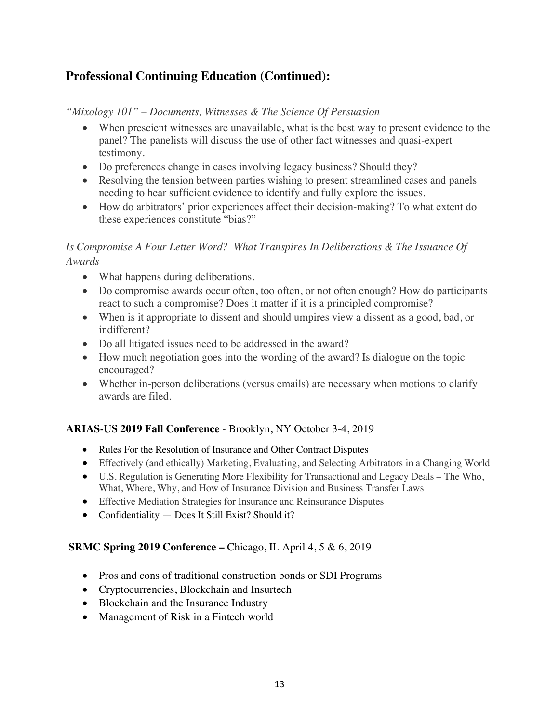#### *"Mixology 101" – Documents, Witnesses & The Science Of Persuasion*

- When prescient witnesses are unavailable, what is the best way to present evidence to the panel? The panelists will discuss the use of other fact witnesses and quasi-expert testimony.
- Do preferences change in cases involving legacy business? Should they?
- Resolving the tension between parties wishing to present streamlined cases and panels needing to hear sufficient evidence to identify and fully explore the issues.
- How do arbitrators' prior experiences affect their decision-making? To what extent do these experiences constitute "bias?"

### *Is Compromise A Four Letter Word? What Transpires In Deliberations & The Issuance Of Awards*

- What happens during deliberations.
- Do compromise awards occur often, too often, or not often enough? How do participants react to such a compromise? Does it matter if it is a principled compromise?
- When is it appropriate to dissent and should umpires view a dissent as a good, bad, or indifferent?
- Do all litigated issues need to be addressed in the award?
- How much negotiation goes into the wording of the award? Is dialogue on the topic encouraged?
- Whether in-person deliberations (versus emails) are necessary when motions to clarify awards are filed.

### **ARIAS-US 2019 Fall Conference** - Brooklyn, NY October 3-4, 2019

- Rules For the Resolution of Insurance and Other Contract Disputes
- Effectively (and ethically) Marketing, Evaluating, and Selecting Arbitrators in a Changing World
- U.S. Regulation is Generating More Flexibility for Transactional and Legacy Deals The Who, What, Where, Why, and How of Insurance Division and Business Transfer Laws
- Effective Mediation Strategies for Insurance and Reinsurance Disputes
- Confidentiality Does It Still Exist? Should it?

#### **SRMC Spring 2019 Conference –** Chicago, IL April 4, 5 & 6, 2019

- Pros and cons of traditional construction bonds or SDI Programs
- Cryptocurrencies, Blockchain and Insurtech
- Blockchain and the Insurance Industry
- Management of Risk in a Fintech world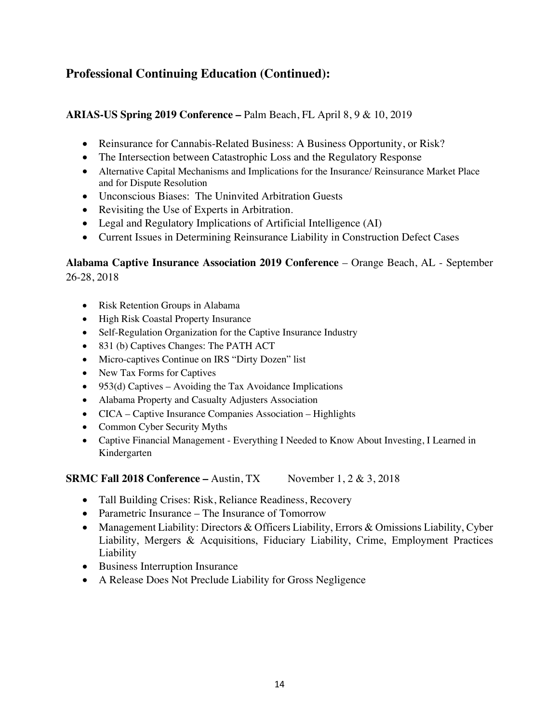#### **ARIAS-US Spring 2019 Conference –** Palm Beach, FL April 8, 9 & 10, 2019

- Reinsurance for Cannabis-Related Business: A Business Opportunity, or Risk?
- The Intersection between Catastrophic Loss and the Regulatory Response
- Alternative Capital Mechanisms and Implications for the Insurance/ Reinsurance Market Place and for Dispute Resolution
- Unconscious Biases: The Uninvited Arbitration Guests
- Revisiting the Use of Experts in Arbitration.
- Legal and Regulatory Implications of Artificial Intelligence (AI)
- Current Issues in Determining Reinsurance Liability in Construction Defect Cases

#### **Alabama Captive Insurance Association 2019 Conference** – Orange Beach, AL - September 26-28, 2018

- Risk Retention Groups in Alabama
- High Risk Coastal Property Insurance
- Self-Regulation Organization for the Captive Insurance Industry
- 831 (b) Captives Changes: The PATH ACT
- Micro-captives Continue on IRS "Dirty Dozen" list
- New Tax Forms for Captives
- 953(d) Captives Avoiding the Tax Avoidance Implications
- Alabama Property and Casualty Adjusters Association
- CICA Captive Insurance Companies Association Highlights
- Common Cyber Security Myths
- Captive Financial Management Everything I Needed to Know About Investing, I Learned in Kindergarten

**SRMC** Fall 2018 Conference – Austin, TX November  $1, 2 \& 3, 2018$ 

- Tall Building Crises: Risk, Reliance Readiness, Recovery
- Parametric Insurance The Insurance of Tomorrow
- Management Liability: Directors & Officers Liability, Errors & Omissions Liability, Cyber Liability, Mergers & Acquisitions, Fiduciary Liability, Crime, Employment Practices Liability
- Business Interruption Insurance
- A Release Does Not Preclude Liability for Gross Negligence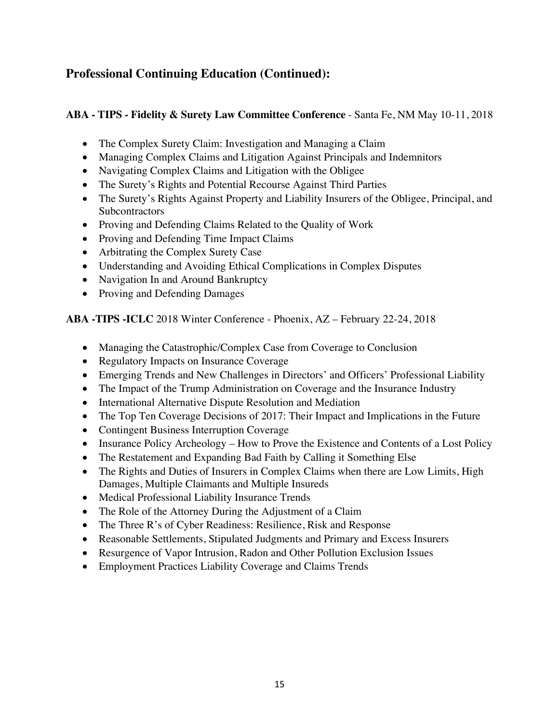#### **ABA - TIPS - Fidelity & Surety Law Committee Conference** - Santa Fe, NM May 10-11, 2018

- The Complex Surety Claim: Investigation and Managing a Claim
- Managing Complex Claims and Litigation Against Principals and Indemnitors
- Navigating Complex Claims and Litigation with the Obligee
- The Surety's Rights and Potential Recourse Against Third Parties
- The Surety's Rights Against Property and Liability Insurers of the Obligee, Principal, and **Subcontractors**
- Proving and Defending Claims Related to the Quality of Work
- Proving and Defending Time Impact Claims
- Arbitrating the Complex Surety Case
- Understanding and Avoiding Ethical Complications in Complex Disputes
- Navigation In and Around Bankruptcy
- Proving and Defending Damages

**ABA -TIPS -ICLC** 2018 Winter Conference - Phoenix, AZ – February 22-24, 2018

- Managing the Catastrophic/Complex Case from Coverage to Conclusion
- Regulatory Impacts on Insurance Coverage
- Emerging Trends and New Challenges in Directors' and Officers' Professional Liability
- The Impact of the Trump Administration on Coverage and the Insurance Industry
- International Alternative Dispute Resolution and Mediation
- The Top Ten Coverage Decisions of 2017: Their Impact and Implications in the Future
- Contingent Business Interruption Coverage
- Insurance Policy Archeology How to Prove the Existence and Contents of a Lost Policy
- The Restatement and Expanding Bad Faith by Calling it Something Else
- The Rights and Duties of Insurers in Complex Claims when there are Low Limits, High Damages, Multiple Claimants and Multiple Insureds
- Medical Professional Liability Insurance Trends
- The Role of the Attorney During the Adjustment of a Claim
- The Three R's of Cyber Readiness: Resilience, Risk and Response
- Reasonable Settlements, Stipulated Judgments and Primary and Excess Insurers
- Resurgence of Vapor Intrusion, Radon and Other Pollution Exclusion Issues
- Employment Practices Liability Coverage and Claims Trends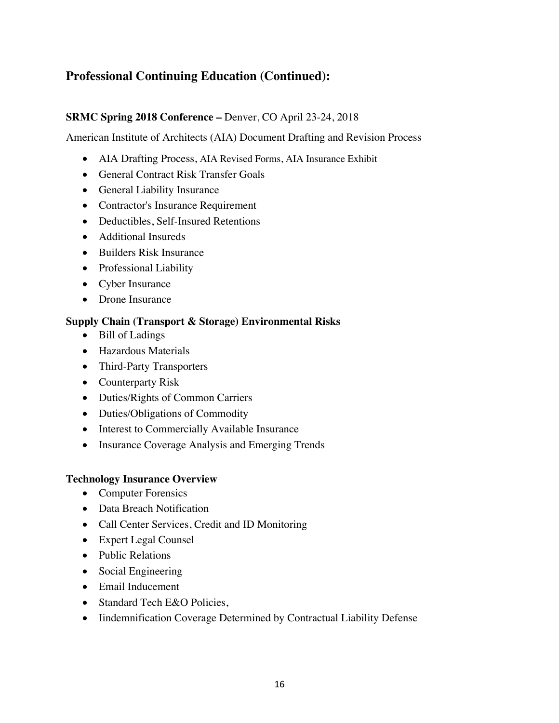#### **SRMC Spring 2018 Conference –** Denver, CO April 23-24, 2018

American Institute of Architects (AIA) Document Drafting and Revision Process

- AIA Drafting Process, AIA Revised Forms, AIA Insurance Exhibit
- General Contract Risk Transfer Goals
- General Liability Insurance
- Contractor's Insurance Requirement
- Deductibles, Self-Insured Retentions
- Additional Insureds
- Builders Risk Insurance
- Professional Liability
- Cyber Insurance
- Drone Insurance

#### **Supply Chain (Transport & Storage) Environmental Risks**

- Bill of Ladings
- Hazardous Materials
- Third-Party Transporters
- Counterparty Risk
- Duties/Rights of Common Carriers
- Duties/Obligations of Commodity
- Interest to Commercially Available Insurance
- Insurance Coverage Analysis and Emerging Trends

#### **Technology Insurance Overview**

- Computer Forensics
- Data Breach Notification
- Call Center Services, Credit and ID Monitoring
- Expert Legal Counsel
- Public Relations
- Social Engineering
- Email Inducement
- Standard Tech E&O Policies,
- Iindemnification Coverage Determined by Contractual Liability Defense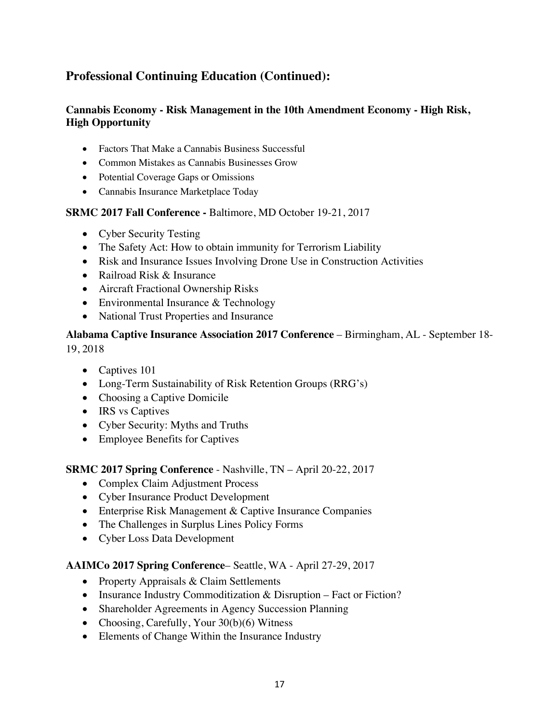#### **Cannabis Economy - Risk Management in the 10th Amendment Economy - High Risk, High Opportunity**

- Factors That Make a Cannabis Business Successful
- Common Mistakes as Cannabis Businesses Grow
- Potential Coverage Gaps or Omissions
- Cannabis Insurance Marketplace Today

#### **SRMC 2017 Fall Conference -** Baltimore, MD October 19-21, 2017

- Cyber Security Testing
- The Safety Act: How to obtain immunity for Terrorism Liability
- Risk and Insurance Issues Involving Drone Use in Construction Activities
- Railroad Risk & Insurance
- Aircraft Fractional Ownership Risks
- Environmental Insurance & Technology
- National Trust Properties and Insurance

#### **Alabama Captive Insurance Association 2017 Conference** – Birmingham, AL - September 18- 19, 2018

- Captives 101
- Long-Term Sustainability of Risk Retention Groups (RRG's)
- Choosing a Captive Domicile
- IRS vs Captives
- Cyber Security: Myths and Truths
- Employee Benefits for Captives

#### **SRMC 2017 Spring Conference** - Nashville, TN – April 20-22, 2017

- Complex Claim Adjustment Process
- Cyber Insurance Product Development
- Enterprise Risk Management & Captive Insurance Companies
- The Challenges in Surplus Lines Policy Forms
- Cyber Loss Data Development

#### **AAIMCo 2017 Spring Conference**– Seattle, WA - April 27-29, 2017

- Property Appraisals & Claim Settlements
- Insurance Industry Commoditization & Disruption Fact or Fiction?
- Shareholder Agreements in Agency Succession Planning
- Choosing, Carefully, Your 30(b)(6) Witness
- Elements of Change Within the Insurance Industry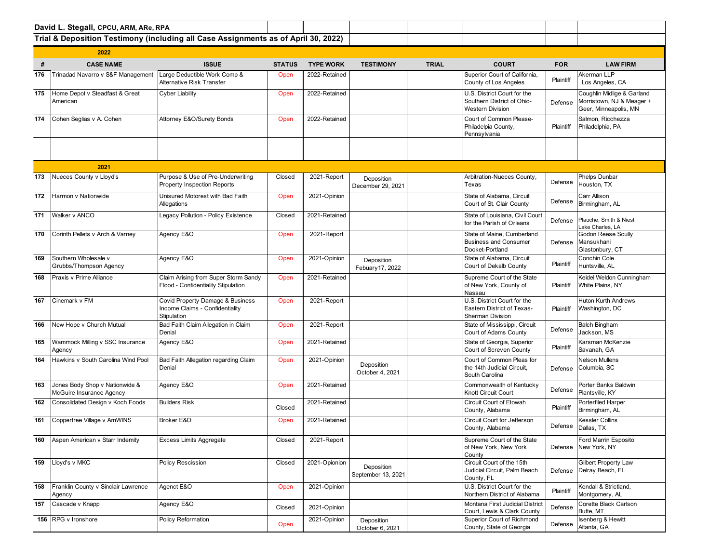|     | David L. Stegall, CPCU, ARM, ARe, RPA                      |                                                                                    |               |                  |                                  |              |                                                                                      |            |                                                                                  |  |  |  |  |
|-----|------------------------------------------------------------|------------------------------------------------------------------------------------|---------------|------------------|----------------------------------|--------------|--------------------------------------------------------------------------------------|------------|----------------------------------------------------------------------------------|--|--|--|--|
|     |                                                            | Trial & Deposition Testimony (including all Case Assignments as of April 30, 2022) |               |                  |                                  |              |                                                                                      |            |                                                                                  |  |  |  |  |
|     | 2022                                                       |                                                                                    |               |                  |                                  |              |                                                                                      |            |                                                                                  |  |  |  |  |
| #   | <b>CASE NAME</b>                                           | <b>ISSUE</b>                                                                       | <b>STATUS</b> | <b>TYPE WORK</b> | <b>TESTIMONY</b>                 | <b>TRIAL</b> | <b>COURT</b>                                                                         | <b>FOR</b> | <b>LAW FIRM</b>                                                                  |  |  |  |  |
| 176 | Trinadad Navarro v S&F Management                          | Large Deductible Work Comp &<br>Alternative Risk Transfer                          | Open          | 2022-Retained    |                                  |              | Superior Court of California,<br>County of Los Angeles                               | Plaintiff  | Akerman LLP<br>Los Angeles, CA                                                   |  |  |  |  |
| 175 | Home Depot v Steadfast & Great<br>American                 | <b>Cyber Liability</b>                                                             | Open          | 2022-Retained    |                                  |              | U.S. District Court for the<br>Southern District of Ohio-<br><b>Western Division</b> | Defense    | Coughlin Midlige & Garland<br>Morristown, NJ & Meager +<br>Geer, Minneapolis, MN |  |  |  |  |
| 174 | Cohen Seglias v A. Cohen                                   | Attorney E&O/Surety Bonds                                                          | Open          | 2022-Retained    |                                  |              | Court of Common Please-<br>Philadelpia County,<br>Pennsylvania                       | Plaintiff  | Salmon, Ricchezza<br>Philadelphia, PA                                            |  |  |  |  |
|     |                                                            |                                                                                    |               |                  |                                  |              |                                                                                      |            |                                                                                  |  |  |  |  |
|     | 2021                                                       |                                                                                    |               |                  |                                  |              |                                                                                      |            |                                                                                  |  |  |  |  |
| 173 | Nueces County v Lloyd's                                    | Purpose & Use of Pre-Underwriting<br><b>Property Inspection Reports</b>            | Closed        | 2021-Report      | Deposition<br>December 29, 2021  |              | Arbitration-Nueces County,<br>Texas                                                  | Defense    | Phelps Dunbar<br>Houston, TX                                                     |  |  |  |  |
| 172 | Harmon v Nationwide                                        | Unisured Motorest with Bad Faith<br>Allegations                                    | Open          | 2021-Opinion     |                                  |              | State of Alabama, Circuit<br>Court of St. Clair County                               | Defense    | Carr Allison<br>Birmingham, AL                                                   |  |  |  |  |
| 171 | Walker v ANCO                                              | Legacy Pollution - Policy Existence                                                | Closed        | 2021-Retained    |                                  |              | State of Louisiana, Civil Court<br>for the Parish of Orleans                         | Defense    | Plauche, Smith & Niest<br>Lake Charles, LA                                       |  |  |  |  |
| 170 | Corinth Pellets v Arch & Varney                            | Agency E&O                                                                         | Open          | 2021-Report      |                                  |              | State of Maine. Cumberland<br><b>Business and Consumer</b><br>Docket-Portland        | Defense    | <b>Godon Reese Scully</b><br>Mansukhani<br>Glastonbury, CT                       |  |  |  |  |
| 169 | Southern Wholesale v<br>Grubbs/Thompson Agency             | Agency E&O                                                                         | Open          | 2021-Opinion     | Deposition<br>Febuary 17, 2022   |              | State of Alabama, Circuit<br>Court of Dekalb County                                  | Plaintiff  | Conchin Cole<br>Huntsville, AL                                                   |  |  |  |  |
| 168 | Praxis v Prime Alliance                                    | Claim Arising from Super Storm Sandy<br>Flood - Confidentiality Stipulation        | Open          | 2021-Retained    |                                  |              | Supreme Court of the State<br>of New York, County of<br>Nassau                       | Plaintiff  | Keidel Weldon Cunningham<br>White Plains, NY                                     |  |  |  |  |
| 167 | Cinemark v FM                                              | Covid Property Damage & Business<br>Income Claims - Confidentiality<br>Stipulation | Open          | 2021-Report      |                                  |              | U.S. District Court for the<br>Eastern District of Texas-<br>Sherman Division        | Plaintiff  | <b>Huton Kurth Andrews</b><br>Washington, DC                                     |  |  |  |  |
| 166 | New Hope v Church Mutual                                   | Bad Faith Claim Allegation in Claim<br>Denial                                      | Open          | 2021-Report      |                                  |              | State of Mississippi, Circuit<br>Court of Adams County                               | Defense    | <b>Balch Bingham</b><br>Jackson, MS                                              |  |  |  |  |
| 165 | Wammock Milling v SSC Insurance<br>Agency                  | Agency E&O                                                                         | Open          | 2021-Retained    |                                  |              | State of Georgia, Superior<br>Court of Screven County                                | Plaintiff  | Karsman McKenzie<br>Savanah, GA                                                  |  |  |  |  |
| 164 | Hawkins v South Carolina Wind Pool                         | Bad Faith Allegation regarding Claim<br>Denial                                     | Open          | 2021-Opinion     | Deposition<br>October 4, 2021    |              | Court of Common Pleas for<br>the 14th Judicial Circuit,<br>South Carolina            | Defense    | Nelson Mullens<br>Columbia, SC                                                   |  |  |  |  |
| 163 | Jones Body Shop v Nationwide &<br>McGuire Insurance Agency | Agency E&O                                                                         | Open          | 2021-Retained    |                                  |              | Commonwealth of Kentucky<br>Knott Circuit Court                                      | Defense    | Porter Banks Baldwin<br>Plantsville, KY                                          |  |  |  |  |
| 162 | Consolidated Design v Koch Foods                           | <b>Builders Risk</b>                                                               | Closed        | 2021-Retained    |                                  |              | Circuit Court of Etowah<br>County, Alabama                                           | Plaintiff  | Porterfiled Harper<br>Birmingham, AL                                             |  |  |  |  |
| 161 | Coppertree Village v AmWINS                                | Broker E&O                                                                         | Open          | 2021-Retained    |                                  |              | Circuit Court for Jefferson<br>County, Alabama                                       |            | <b>Kessler Collins</b><br>Defense Dallas, TX                                     |  |  |  |  |
| 160 | Aspen American v Starr Indemity                            | <b>Excess Limits Aggregate</b>                                                     | Closed        | 2021-Report      |                                  |              | Supreme Court of the State<br>of New York, New York<br>County                        | Defense    | Ford Marrin Esposito<br>New York, NY                                             |  |  |  |  |
| 159 | Lloyd's v MKC                                              | Policy Rescission                                                                  | Closed        | 2021-Opionion    | Deposition<br>September 13, 2021 |              | Circuit Court of the 15th<br>Judicial Circuit, Palm Beach<br>County, FL              | Defense    | <b>Gilbert Property Law</b><br>Delray Beach, FL                                  |  |  |  |  |
| 158 | Franklin County v Sinclair Lawrence<br>Agency              | Agenct E&O                                                                         | Open          | 2021-Opinion     |                                  |              | U.S. District Court for the<br>Northern District of Alabama                          | Plaintiff  | Kendall & Strictland,<br>Montgomery, AL                                          |  |  |  |  |
| 157 | Cascade v Knapp                                            | Agency E&O                                                                         | Closed        | 2021-Opinion     |                                  |              | Montana First Judicial District<br>Court, Lewis & Clark County                       | Defense    | Corette Black Carlson<br>Butte, MT                                               |  |  |  |  |
|     | 156 RPG v Ironshore                                        | Policy Reformation                                                                 | Open          | 2021-Opinion     | Deposition<br>October 6, 2021    |              | Superior Court of Richmond<br>County, State of Georgia                               | Defense    | Isenberg & Hewitt<br>Altanta, GA                                                 |  |  |  |  |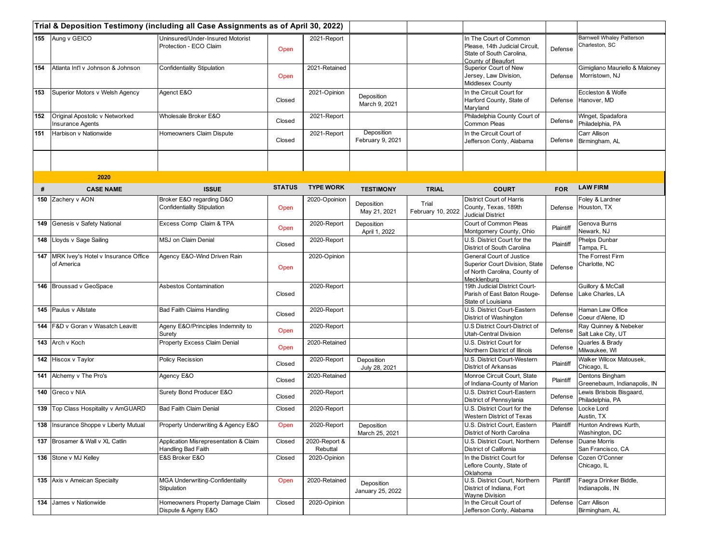|     |                                                           | Trial & Deposition Testimony (including all Case Assignments as of April 30, 2022) |               |                           |                                |                            |                                                                                                            |            |                                                    |
|-----|-----------------------------------------------------------|------------------------------------------------------------------------------------|---------------|---------------------------|--------------------------------|----------------------------|------------------------------------------------------------------------------------------------------------|------------|----------------------------------------------------|
|     | 155 Aung v GEICO                                          | Uninsured/Under-Insured Motorist<br>Protection - ECO Claim                         | Open          | 2021-Report               |                                |                            | In The Court of Common<br>Please, 14th Judicial Circuit,<br>State of South Carolina,<br>County of Beaufort | Defense    | <b>Barnwell Whaley Patterson</b><br>Charleston, SC |
| 154 | Atlanta Int'l y Johnson & Johnson                         | Confidentiality Stipulation                                                        | Open          | 2021-Retained             |                                |                            | Superior Court of New<br>Jersey, Law Division,<br>Middlesex County                                         | Defense    | Gimigliano Mauriello & Maloney<br>Morristown, NJ   |
| 153 | Superior Motors v Welsh Agency                            | Agenct E&O                                                                         | Closed        | 2021-Opinion              | Deposition<br>March 9, 2021    |                            | In the Circuit Court for<br>Harford County, State of<br>Maryland                                           | Defense    | Eccleston & Wolfe<br>Hanover, MD                   |
| 152 | Original Apostolic v Networked<br><b>Insurance Agents</b> | Wholesale Broker E&O                                                               | Closed        | 2021-Report               |                                |                            | Philadelphia County Court of<br>Common Pleas                                                               | Defense    | Winget, Spadafora<br>Philadelphia, PA              |
| 151 | Harbison v Nationwide                                     | Homeowners Claim Dispute                                                           | Closed        | 2021-Report               | Deposition<br>February 9, 2021 |                            | In the Circuit Court of<br>Jefferson Conty, Alabama                                                        | Defense    | Carr Allison<br>Birmingham, AL                     |
|     |                                                           |                                                                                    |               |                           |                                |                            |                                                                                                            |            |                                                    |
|     | 2020                                                      |                                                                                    |               |                           |                                |                            |                                                                                                            |            |                                                    |
| #   | <b>CASE NAME</b>                                          | <b>ISSUE</b>                                                                       | <b>STATUS</b> | <b>TYPE WORK</b>          | <b>TESTIMONY</b>               | <b>TRIAL</b>               | <b>COURT</b>                                                                                               | <b>FOR</b> | <b>LAW FIRM</b>                                    |
|     | 150 Zachery v AON                                         | Broker E&O regarding D&O<br>Confidentiality Stipulation                            | Open          | 2020-Opoinion             | Deposition<br>May 21, 2021     | Trial<br>February 10, 2022 | <b>District Court of Harris</b><br>County, Texas, 189th<br><b>Judicial District</b>                        | Defense    | Foley & Lardner<br>Houston, TX                     |
|     | 149 Genesis v Safety National                             | Excess Comp Claim & TPA                                                            | Open          | 2020-Report               | Deposition<br>April 1, 2022    |                            | Court of Common Pleas<br>Montgomery County, Ohio                                                           | Plaintiff  | Genova Burns<br>Newark, NJ                         |
|     | 148 Lloyds v Sage Sailing                                 | MSJ on Claim Denial                                                                | Closed        | 2020-Report               |                                |                            | U.S. District Court for the<br>District of South Carolina                                                  | Plaintiff  | Phelps Dunbar<br>Tampa, FL                         |
|     | 147 MRK Ivey's Hotel v Insurance Office<br>of America     | Agency E&O-Wind Driven Rain                                                        | Open          | 2020-Opinion              |                                |                            | General Court of Justice<br>Superior Court Division, State<br>of North Carolina, County of<br>Mecklenburg  | Defense    | The Forrest Firm<br>Charlotte, NC                  |
|     | 146 Broussad v GeoSpace                                   | Asbestos Contamination                                                             | Closed        | 2020-Report               |                                |                            | 19th Judicial District Court-<br>Parish of East Baton Rouge-<br>State of Louisiana                         | Defense    | Guillory & McCall<br>Lake Charles, LA              |
|     | 145 Paulus v Allstate                                     | <b>Bad Faith Claims Handling</b>                                                   | Closed        | 2020-Report               |                                |                            | U.S. District Court-Eastern<br>District of Washington                                                      | Defense    | Haman Law Office<br>Coeur d'Alene, ID              |
|     | 144 F&D v Goran v Wasatch Leavitt                         | Ageny E&O/Principles Indemnity to<br>Surety                                        | Open          | 2020-Report               |                                |                            | U.S District Court-District of<br>Utah-Central Division                                                    | Defense    | Ray Quinney & Nebeker<br>Salt Lake City, UT        |
|     | 143 Arch v Koch                                           | Property Excess Claim Denial                                                       | Open          | 2020-Retained             |                                |                            | U.S. District Court for<br>Northern District of Illinois                                                   | Defense    | Quarles & Brady<br>Milwaukee, WI                   |
|     | 142 Hiscox v Taylor                                       | Policy Recission                                                                   | Closed        | 2020-Report               | Deposition<br>July 28, 2021    |                            | U.S. District Court-Western<br>District of Arkansas                                                        | Plaintiff  | Walker Wilcox Matousek,<br>Chicago, IL             |
|     | 141 Alchemy v The Pro's                                   | Agency E&O                                                                         | Closed        | 2020-Retained             |                                |                            | Monroe Circuit Court, State<br>of Indiana-County of Marion                                                 | Plaintiff  | Dentons Bingham<br>Greenebaum, Indianapolis, IN    |
|     | 140 Greco v NIA                                           | Surety Bond Producer E&O                                                           | Closed        | 2020-Report               |                                |                            | U.S. District Court-Eastern<br>District of Pennsylania                                                     | Defense    | Lewis Brisbois Bisgaard,<br>Philadelphia, PA       |
|     | 139   Top Class Hospitality v AmGUARD                     | <b>Bad Faith Claim Denial</b>                                                      | Closed        | 2020-Report               |                                |                            | U.S. District Court for the<br>Western District of Texas                                                   | Defense    | Locke Lord<br>Austin, TX                           |
|     | 138 Insurance Shoppe v Liberty Mutual                     | Property Underwriting & Agency E&O                                                 | Open          | 2020-Report               | Deposition<br>March 25, 2021   |                            | U.S. District Court, Eastern<br>District of North Carolina                                                 | Plaintiff  | Hunton Andrews Kurth,<br>Washington, DC            |
|     | 137 Brosamer & Wall v XL Catlin                           | Application Misrepresentation & Claim<br>Handling Bad Faith                        | Closed        | 2020-Report &<br>Rebuttal |                                |                            | U.S. District Court, Northern<br>District of California                                                    | Defense    | Duane Morris<br>San Francisco, CA                  |
|     | 136 Stone v MJ Kelley                                     | E&S Broker E&O                                                                     | Closed        | 2020-Opinion              |                                |                            | In the District Court for<br>Leflore County, State of<br>Oklahoma                                          | Defense    | Cozen O'Conner<br>Chicago, IL                      |
|     | 135 Axis v Ameican Specialty                              | <b>MGA Underwriting-Confidentiality</b><br>Stipulation                             | Open          | 2020-Retained             | Deposition<br>January 25, 2022 |                            | U.S. District Court, Northern<br>District of Indiana, Fort<br>Wayne Division                               | Plantiff   | Faegra Drinker Biddle,<br>Indianapolis, IN         |
|     | 134 James v Nationwide                                    | Homeowners Property Damage Claim<br>Dispute & Ageny E&O                            | Closed        | 2020-Opinion              |                                |                            | In the Circuit Court of<br>Jefferson Conty, Alabama                                                        | Defense    | Carr Allison<br>Birmingham, AL                     |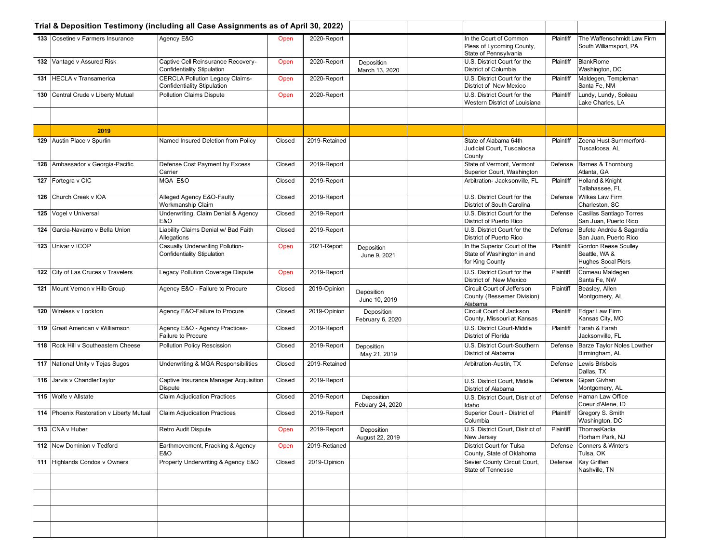|     |                                          | Trial & Deposition Testimony (including all Case Assignments as of April 30, 2022) |        |               |                                |                                                                               |           |                                                                           |
|-----|------------------------------------------|------------------------------------------------------------------------------------|--------|---------------|--------------------------------|-------------------------------------------------------------------------------|-----------|---------------------------------------------------------------------------|
|     | 133 Cosetine v Farmers Insurance         | Agency E&O                                                                         | Open   | 2020-Report   |                                | In the Court of Common<br>Pleas of Lycoming County,<br>State of Pennsylvania  | Plaintiff | The Waffenschmidt Law Firm<br>South Williamsport, PA                      |
|     | 132 Vantage v Assured Risk               | Captive Cell Reinsurance Recovery-<br>Confidentiality Stipulation                  | Open   | 2020-Report   | Deposition<br>March 13, 2020   | U.S. District Court for the<br>District of Columbia                           | Plaintiff | <b>BlankRome</b><br>Washington, DC                                        |
|     | 131 HECLA v Transamerica                 | <b>CERCLA Pollution Legacy Claims-</b><br>Confidentiality Stipulation              | Open   | 2020-Report   |                                | U.S. District Court for the<br>District of New Mexico                         | Plaintiff | Maldegen, Templeman<br>Santa Fe, NM                                       |
| 130 | Central Crude v Liberty Mutual           | Pollution Claims Dispute                                                           | Open   | 2020-Report   |                                | U.S. District Court for the<br>Western District of Louisiana                  | Plaintiff | Lundy, Lundy, Soileau<br>Lake Charles, LA                                 |
|     |                                          |                                                                                    |        |               |                                |                                                                               |           |                                                                           |
|     | 2019                                     |                                                                                    |        |               |                                |                                                                               |           |                                                                           |
|     | 129 Austin Place v Spurlin               | Named Insured Deletion from Policy                                                 | Closed | 2019-Retained |                                | State of Alabama 64th<br>Judicial Court, Tuscaloosa<br>County                 | Plaintiff | Zeena Hust Summerford-<br>Tuscaloosa, AL                                  |
|     | 128 Ambassador v Georgia-Pacific         | Defense Cost Payment by Excess<br>Carrier                                          | Closed | 2019-Report   |                                | State of Vermont, Vermont<br>Superior Court, Washington                       | Defense   | Barnes & Thornburg<br>Atlanta, GA                                         |
|     | 127 Fortegra v CIC                       | MGA E&O                                                                            | Closed | 2019-Report   |                                | Arbitration- Jacksonville, FL                                                 | Plaintiff | Holland & Knight<br>Tallahassee, FL                                       |
| 126 | Church Creek v IOA                       | Alleged Agency E&O-Faulty<br>Workmanship Claim                                     | Closed | 2019-Report   |                                | U.S. District Court for the<br>District of South Carolina                     | Defense   | Wilkes Law Firm<br>Charleston, SC                                         |
|     | 125 Vogel v Universal                    | Underwriting, Claim Denial & Agency<br>E&O                                         | Closed | 2019-Report   |                                | U.S. District Court for the<br>District of Puerto Rico                        | Defense   | Casillas Santiago Torres<br>San Juan, Puerto Rico                         |
| 124 | Garcia-Navarro v Bella Union             | Liability Claims Denial w/ Bad Faith<br>Allegations                                | Closed | 2019-Report   |                                | U.S. District Court for the<br>District of Puerto Rico                        | Defense   | Bufete Andréu & Sagardía<br>San Juan, Puerto Rico                         |
|     | 123 Univar v ICOP                        | Casualty Underwriting Pollution-<br><b>Confidentiality Stipulation</b>             | Open   | 2021-Report   | Deposition<br>June 9, 2021     | In the Superior Court of the<br>State of Washington in and<br>for King County | Plaintiff | <b>Gordon Reese Sculley</b><br>Seattle, WA &<br><b>Hughes Socal Piers</b> |
|     | 122 City of Las Cruces v Travelers       | Legacy Pollution Coverage Dispute                                                  | Open   | 2019-Report   |                                | U.S. District Court for the<br>District of New Mexico                         | Plaintiff | Comeau Maldegen<br>Santa Fe, NW                                           |
|     | 121 Mount Vernon v Hilb Group            | Agency E&O - Failure to Procure                                                    | Closed | 2019-Opinion  | Deposition<br>June 10, 2019    | Circuit Court of Jefferson<br>County (Bessemer Division)<br>Alabama           | Plaintiff | Beasley, Allen<br>Montgomery, AL                                          |
|     | 120 Wireless v Lockton                   | Agency E&O-Failure to Procure                                                      | Closed | 2019-Opinion  | Deposition<br>February 6, 2020 | Circuit Court of Jackson<br>County, Missouri at Kansas                        | Plaintiff | Edgar Law Firm<br>Kansas City, MO                                         |
| 119 | Great American v Williamson              | Agency E&O - Agency Practices-<br>Failure to Procure                               | Closed | 2019-Report   |                                | U.S. District Court-Middle<br>District of Florida                             | Plaintiff | Farah & Farah<br>Jacksonville, FL                                         |
|     | 118 Rock Hill v Southeastern Cheese      | Pollution Policy Rescission                                                        | Closed | 2019-Report   | Deposition<br>May 21, 2019     | U.S. District Court-Southern<br>District of Alabama                           | Defense   | Barze Taylor Noles Lowther<br>Birmingham, AL                              |
|     | 117 National Unity v Tejas Sugos         | Underwriting & MGA Responsibilities                                                | Closed | 2019-Retained |                                | Arbitration-Austin, TX                                                        | Defense   | Lewis Brisbois<br>Dallas, TX                                              |
|     | 116 Jarvis v ChandlerTaylor              | Captive Insurance Manager Acquisition<br><b>Dispute</b>                            | Closed | 2019-Report   |                                | U.S. District Court, Middle<br>District of Alabama                            | Defense   | Gipan Givhan<br>Montgomery, AL                                            |
|     | 115 Wolfe v Allstate                     | <b>Claim Adjudication Practices</b>                                                | Closed | 2019-Report   | Deposition<br>Febuary 24, 2020 | U.S. District Court, District of<br>Idaho                                     | Defense   | Haman Law Office<br>Coeur d'Alene, ID                                     |
|     | 114 Phoenix Restoration v Liberty Mutual | <b>Claim Adjudication Practices</b>                                                | Closed | 2019-Report   |                                | Superior Court - District of<br>Columbia                                      | Plaintiff | Gregory S. Smith<br>Washington, DC                                        |
|     | 113 CNA v Huber                          | Retro Audit Dispute                                                                | Open   | 2019-Report   | Deposition<br>August 22, 2019  | U.S. District Court, District of<br>New Jersey                                |           | Plaintiff ThomasKadia<br>Florham Park, NJ                                 |
|     | 112 New Dominion v Tedford               | Earthmovement, Fracking & Agency<br>E&O                                            | Open   | 2019-Retianed |                                | District Court for Tulsa<br>County, State of Oklahoma                         | Defense   | Conners & Winters<br>Tulsa, OK                                            |
|     | 111 Highlands Condos v Owners            | Property Underwriting & Agency E&O                                                 | Closed | 2019-Opinion  |                                | Sevier County Circuit Court,<br>State of Tennesse                             | Defense   | Kay Griffen<br>Nashville, TN                                              |
|     |                                          |                                                                                    |        |               |                                |                                                                               |           |                                                                           |
|     |                                          |                                                                                    |        |               |                                |                                                                               |           |                                                                           |
|     |                                          |                                                                                    |        |               |                                |                                                                               |           |                                                                           |
|     |                                          |                                                                                    |        |               |                                |                                                                               |           |                                                                           |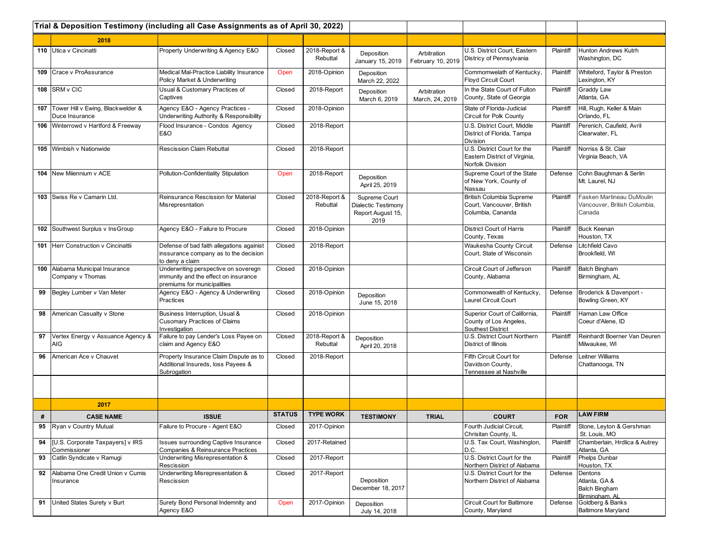|     |                                                     | Trial & Deposition Testimony (including all Case Assignments as of April 30, 2022)                          |               |                           |                                                                   |                                  |                                                                                  |            |                                                                     |
|-----|-----------------------------------------------------|-------------------------------------------------------------------------------------------------------------|---------------|---------------------------|-------------------------------------------------------------------|----------------------------------|----------------------------------------------------------------------------------|------------|---------------------------------------------------------------------|
|     | 2018                                                |                                                                                                             |               |                           |                                                                   |                                  |                                                                                  |            |                                                                     |
|     | 110 Utica v Cincinatti                              | Property Underwriting & Agency E&O                                                                          | Closed        | 2018-Report &<br>Rebuttal | Deposition<br>January 15, 2019                                    | Arbitration<br>February 10, 2019 | U.S. District Court, Eastern<br>Districy of Pennsylvania                         | Plaintiff  | Hunton Andrews Kutrh<br>Washington, DC                              |
|     | 109 Crace v ProAssurance                            | Medical Mal-Practice Liability Insurance<br>Policy Market & Underwriting                                    | Open          | 2018-Opinion              | Deposition<br>March 22, 2022                                      |                                  | Commomwelath of Kentucky.<br>Floyd Circuit Court                                 | Plaintiff  | Whiteford, Taylor & Preston<br>Lexington, KY                        |
| 108 | SRM v CIC                                           | Usual & Customary Practices of<br>Captives                                                                  | Closed        | 2018-Report               | Deposition<br>March 6, 2019                                       | Arbitration<br>March, 24, 2019   | In the State Court of Fulton<br>County, State of Georgia                         | Plaintiff  | <b>Graddy Law</b><br>Atlanta, GA                                    |
| 107 | Tower Hill v Ewing, Blackwelder &<br>Duce Insurance | Agency E&O - Agency Practices -<br>Underwriting Authority & Responsibility                                  | Closed        | 2018-Opinion              |                                                                   |                                  | State of Florida-Judicial<br>Circuit for Polk County                             | Plaintiff  | Hill, Rugh, Keller & Main<br>Orlando, FL                            |
|     | 106 Winterrowd v Hartford & Freeway                 | Flood Insurance - Condos Agency<br>E&O                                                                      | Closed        | 2018-Report               |                                                                   |                                  | U.S. District Court, Middle<br>District of Florida, Tampa<br>Division            | Plaintiff  | Perenich, Caufield, Avril<br>Clearwater, FL                         |
|     | 105 Wimbish v Nationwide                            | <b>Rescission Claim Rebuttal</b>                                                                            | Closed        | 2018-Report               |                                                                   |                                  | U.S. District Court for the<br>Eastern District of Virginia,<br>Norfolk Division | Plaintiff  | Norriss & St. Clair<br>Virginia Beach, VA                           |
|     | 104 New Milennium v ACE                             | Pollution-Confidentiality Stipulation                                                                       | Open          | 2018-Report               | Deposition<br>April 25, 2019                                      |                                  | Supreme Court of the State<br>of New York, County of<br>Nassau                   | Defense    | Cohn Baughman & Serlin<br>Mt. Laurel, NJ                            |
|     | 103 Swiss Re v Camarin Ltd.                         | Reinsurance Rescission for Material<br>Misrepresntation                                                     | Closed        | 2018-Report &<br>Rebuttal | Supreme Court<br>Dialectic Testimony<br>Report August 15,<br>2019 |                                  | British Columbia Supreme<br>Court, Vancouver, British<br>Columbia, Cananda       | Plaintiff  | Fasken Martineau DuMoulin<br>Vancouver, British Columbia,<br>Canada |
|     | 102 Southwest Surplus v InsGroup                    | Agency E&O - Failure to Procure                                                                             | Closed        | 2018-Opinion              |                                                                   |                                  | <b>District Court of Harris</b><br>County, Texas                                 | Plaintiff  | <b>Buck Keenan</b><br>Houston, TX                                   |
|     | 101 Herr Construction v Cincinattii                 | Defense of bad faith allegations againist<br>inssurance company as to the decision<br>to deny a claim       | Closed        | 2018-Report               |                                                                   |                                  | Waukesha County Circuit<br>Court, State of Wisconsin                             | Defense    | Litchfield Cavo<br>Brookfield, WI                                   |
| 100 | Alabama Municipal Insurance<br>Company v Thomas     | Underwriting perspective on soveregn<br>immunity and the effect on insurance<br>premiums for municipalities | Closed        | 2018-Opinion              |                                                                   |                                  | Circuit Court of Jefferson<br>County, Alabama                                    | Plaintiff  | <b>Balch Bingham</b><br>Birmingham, AL                              |
| 99  | Begley Lumber v Van Meter                           | Agency E&O - Agency & Underwriting<br>Practices                                                             | Closed        | 2018-Opinion              | Deposition<br>June 15, 2018                                       |                                  | Commonwealth of Kentucky,<br>Laurel Circuit Court                                | Defense    | Broderick & Davenport -<br>Bowling Green, KY                        |
| 98  | American Casualty v Stone                           | Business Interruption, Usual &<br><b>Cusomary Practices of Claims</b><br>Investigation                      | Closed        | 2018-Opinion              |                                                                   |                                  | Superior Court of California,<br>County of Los Angeles,<br>Southest District     | Plaintiff  | Haman Law Office<br>Coeur d'Alene, ID                               |
| 97  | Vertex Energy v Assuance Agency &<br>AIG            | Failure to pay Lender's Loss Payee on<br>claim and Agency E&O                                               | Closed        | 2018-Report &<br>Rebuttal | Deposition<br>April 20, 2018                                      |                                  | U.S. District Court Northern<br>District of Illinois                             | Plaintiff  | Reinhardt Boerner Van Deuren<br>Milwaukee, WI                       |
| 96  | American Ace v Chauvet                              | Property Insurance Claim Dispute as to<br>Additional Insureds, loss Payees &<br>Subrogation                 | Closed        | 2018-Report               |                                                                   |                                  | Fifth Circuit Court for<br>Davidson County,<br>Tennessee at Nashville            | Defense    | Leitner Williams<br>Chattanooga, TN                                 |
|     |                                                     |                                                                                                             |               |                           |                                                                   |                                  |                                                                                  |            |                                                                     |
|     | 2017                                                |                                                                                                             |               |                           |                                                                   |                                  |                                                                                  |            |                                                                     |
| #   | <b>CASE NAME</b>                                    | <b>ISSUE</b>                                                                                                | <b>STATUS</b> | <b>TYPE WORK</b>          | <b>TESTIMONY</b>                                                  | <b>TRIAL</b>                     | <b>COURT</b>                                                                     | <b>FOR</b> | <b>LAW FIRM</b>                                                     |
| 95  | Ryan v Country Mutual                               | Failure to Procure - Agent E&O                                                                              | Closed        | 2017-Opinion              |                                                                   |                                  | Fourth Judicial Circuit.<br>Chrisitan County, IL                                 | Plaintiff  | Stone, Leyton & Gershman<br>St. Louis, MO                           |
| 94  | [U.S. Corporate Taxpayers] v IRS<br>Commissioner    | <b>Issues surrounding Captive Insurance</b><br>Companies & Reinsurance Practices                            | Closed        | 2017-Retained             |                                                                   |                                  | U.S. Tax Court, Washington,<br>D.C.                                              | Plaintiff  | Chamberlain, Hrdlica & Autrey<br>Atlanta, GA                        |
| 93  | Catlin Syndicate v Ramugi                           | Underwriting Misrepresentation &<br>Rescission                                                              | Closed        | 2017-Report               |                                                                   |                                  | U.S. District Court for the<br>Northern District of Alabama                      | Plaintiff  | Phelps Dunbar<br>Houston, TX                                        |
| 92  | Alabama One Credit Union v Cumis<br>Insurance       | Underwriting Misrepresentation &<br>Rescission                                                              | Closed        | 2017-Report               | Deposition<br>December 18, 2017                                   |                                  | U.S. District Court for the<br>Northern District of Alabama                      | Defense    | Dentons<br>Atlanta, GA &<br><b>Balch Bingham</b><br>Birmingham, AL  |
| 91  | United States Surety v Burt                         | Surety Bond Personal Indemnity and<br>Agency E&O                                                            | Open          | 2017-Opinion              | Deposition<br>July 14, 2018                                       |                                  | <b>Circuit Court for Baltimore</b><br>County, Maryland                           | Defense    | Goldberg & Banks<br><b>Baltimore Maryland</b>                       |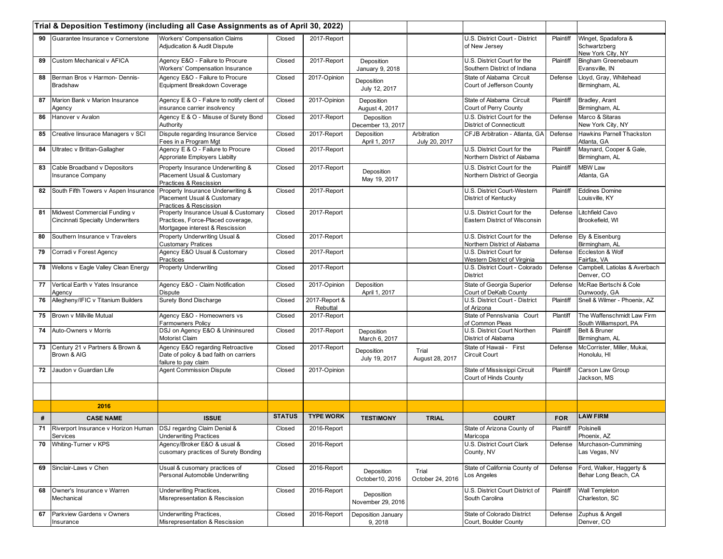|    |                                                                               | Trial & Deposition Testimony (including all Case Assignments as of April 30, 2022)                           |               |                           |                                 |                              |                                                                |            |                                                          |
|----|-------------------------------------------------------------------------------|--------------------------------------------------------------------------------------------------------------|---------------|---------------------------|---------------------------------|------------------------------|----------------------------------------------------------------|------------|----------------------------------------------------------|
|    | 90 Guarantee Insurance y Cornerstone                                          | <b>Workers' Compensation Claims</b><br>Adjudication & Audit Dispute                                          | Closed        | 2017-Report               |                                 |                              | U.S. District Court - District<br>of New Jersey                | Plaintiff  | Winget, Spadafora &<br>Schwartzberg<br>New York City, NY |
| 89 | Custom Mechanical v AFICA                                                     | Agency E&O - Failure to Procure<br><b>Workers' Compensation Insurance</b>                                    | Closed        | 2017-Report               | Deposition<br>January 9, 2018   |                              | U.S. District Court for the<br>Southern District of Indiana    | Plaintiff  | Bingham Greenebaum<br>Evansville, IN                     |
| 88 | Berman Bros v Harmon- Dennis-<br><b>Bradshaw</b>                              | Agency E&O - Failure to Procure<br>Equipment Breakdown Coverage                                              | Closed        | 2017-Opinion              | Deposition<br>July 12, 2017     |                              | State of Alabama Circuit<br>Court of Jefferson County          | Defense    | Lloyd, Gray, Whitehead<br>Birmingham, AL                 |
| 87 | Marion Bank v Marion Insurance<br>Agency                                      | Agency E & O - Falure to notify client of<br>insurance carrier insolvency                                    | Closed        | 2017-Opinion              | Deposition<br>August 4, 2017    |                              | State of Alabama Circuit<br>Court of Perry County              | Plaintiff  | Bradley, Arant<br>Birmingham, AL                         |
| 86 | Hanover v Avalon                                                              | Agency E & O - Misuse of Surety Bond<br>Authority                                                            | Closed        | 2017-Report               | Deposition<br>December 13, 2017 |                              | U.S. District Court for the<br><b>District of Connecticutt</b> | Defense    | Marco & Sitaras<br>New York City, NY                     |
| 85 | Creative linsurace Managers v SCI                                             | Dispute regarding Insurance Service<br>Fees in a Program Mgt                                                 | Closed        | 2017-Report               | Deposition<br>April 1, 2017     | Arbitration<br>July 20, 2017 | CFJB Arbitration - Atlanta, GA                                 | Defense    | Hawkins Parnell Thackston<br>Atlanta, GA                 |
| 84 | Ultratec v Brittan-Gallagher                                                  | Agency E & O - Failure to Procure<br>Approriate Employers Liabilty                                           | Closed        | 2017-Report               |                                 |                              | U.S. District Court for the<br>Northern District of Alabama    | Plaintiff  | Maynard, Cooper & Gale,<br>Birmingham, AL                |
| 83 | Cable Broadband v Depositors<br><b>Insurance Company</b>                      | Property Insurance Underwriting &<br>Placement Usual & Customary<br>Practices & Rescission                   | Closed        | 2017-Report               | Deposition<br>May 19, 2017      |                              | U.S. District Court for the<br>Northern District of Georgia    | Plaintiff  | <b>MBW Law</b><br>Atlanta, GA                            |
| 82 | South Fifth Towers v Aspen Insurance                                          | Property Insurance Underwriting &<br>Placement Usual & Customary<br>Practices & Rescission                   | Closed        | 2017-Report               |                                 |                              | U.S. District Court-Western<br>District of Kentucky            | Plaintiff  | <b>Eddines Domine</b><br>Louisville, KY                  |
| 81 | Midwest Commercial Funding v<br><b>Cincinnati Specialty Underwriters</b>      | Property Insurance Usual & Customary<br>Practices, Force-Placed coverage,<br>Mortgagee interest & Rescission | Closed        | 2017-Report               |                                 |                              | U.S. District Court for the<br>Eastern District of Wisconsin   | Defense    | Litchfield Cavo<br>Brookefield, WI                       |
| 80 | Southern Insurance v Travelers                                                | Property Underwriting Usual &<br><b>Customary Pratices</b>                                                   | Closed        | 2017-Report               |                                 |                              | U.S. District Court for the<br>Northern District of Alabama    | Defense    | Ely & Eisenburg<br>Birmingham, AL                        |
| 79 | Corradi v Forest Agency                                                       | Agency E&O Usual & Customary<br>Practices                                                                    | Closed        | 2017-Report               |                                 |                              | U.S. District Court for<br>Western District of Virginia        | Defense    | Eccleston & Wolf<br>Fairfax, VA                          |
|    | 78 Wellons v Eagle Valley Clean Energy                                        | <b>Property Underwriting</b>                                                                                 | Closed        | 2017-Report               |                                 |                              | U.S. District Court - Colorado<br><b>District</b>              | Defense    | Campbell, Latiolas & Averbach<br>Denver, CO              |
| 77 | Vertical Earth v Yates Insurance<br>Agency                                    | Agency E&O - Claim Notification<br>Dispute                                                                   | Closed        | 2017-Opinion              | Deposition<br>April 1, 2017     |                              | State of Georgia Superior<br>Court of DeKalb County            | Defense    | McRae Bertschi & Cole<br>Dunwoody, GA                    |
| 76 | Allegheny/IFIC v Titanium Builders                                            | <b>Surety Bond Discharge</b>                                                                                 | Closed        | 2017-Report &<br>Rebuttal |                                 |                              | U.S. District Court - District<br>of Arizona                   | Plaintiff  | Snell & Wilmer - Phoenix, AZ                             |
| 75 | Brown v Millville Mutual                                                      | Agency E&O - Homeowners vs<br>Farmowners Policy                                                              | Closed        | 2017-Report               |                                 |                              | State of Pennslvania Court<br>of Common Pleas                  | Plantiff   | The Waffenschmidt Law Firm<br>South Williamsport, PA     |
| 74 | Auto-Owners v Morris                                                          | DSJ on Agency E&O & Unininsured<br>Motorist Claim                                                            | Closed        | 2017-Report               | Deposition<br>March 6, 2017     |                              | U.S. District Court Northen<br>District of Alabama             | Plaintiff  | Belt & Bruner<br>Birmingham, AL                          |
| 73 | Century 21 v Partners & Brown &<br>Brown & AIG                                | Agency E&O regarding Retroactive<br>Date of policy & bad faith on carriers<br>failure to pay claim           | Closed        | 2017-Report               | Deposition<br>July 19, 2017     | Trial<br>August 28, 2017     | State of Hawaii - First<br>Circuit Court                       | Defense    | McCorrister, Miller, Mukai,<br>Honolulu, HI              |
| 72 | Jaudon v Guardian Life                                                        | <b>Agent Commission Dispute</b>                                                                              | Closed        | 2017-Opinion              |                                 |                              | State of Mississippi Circuit<br>Court of Hinds County          | Plaintiff  | Carson Law Group<br>Jackson, MS                          |
|    |                                                                               |                                                                                                              |               |                           |                                 |                              |                                                                |            |                                                          |
|    | 2016                                                                          |                                                                                                              |               |                           |                                 |                              |                                                                |            |                                                          |
| #  | <b>CASE NAME</b>                                                              | <b>ISSUE</b>                                                                                                 | <b>STATUS</b> | <b>TYPE WORK</b>          | <b>TESTIMONY</b>                | <b>TRIAL</b>                 | <b>COURT</b>                                                   | <b>FOR</b> | <b>LAW FIRM</b>                                          |
| 71 | Riverport Insurance v Horizon Human   DSJ regardng Claim Denial &<br>Services | <b>Underwriting Practices</b>                                                                                | Closed        | 2016-Report               |                                 |                              | State of Arizona County of<br>Maricopa                         | Plaintiff  | Polsinelli<br>Phoenix, AZ                                |
| 70 | Whiting-Turner v KPS                                                          | Agency/Broker E&O & usual &<br>cusomary practices of Surety Bonding                                          | Closed        | 2016-Report               |                                 |                              | U.S. District Court Clark<br>County, NV                        | Defense    | Murchason-Cummiming<br>Las Vegas, NV                     |
| 69 | Sinclair-Laws v Chen                                                          | Usual & cusomary practices of<br>Personal Automobile Underwriting                                            | Closed        | 2016-Report               | Deposition<br>October 10, 2016  | Trial<br>October 24, 2016    | State of California County of<br>_os Angeles                   | Defense    | Ford, Walker, Haggerty &<br>Behar Long Beach, CA         |
| 68 | Owner's Insurance v Warren<br>Mechanical                                      | Underwriting Practices,<br>Misrepresentation & Rescission                                                    | Closed        | 2016-Report               | Deposition<br>November 29, 2016 |                              | U.S. District Court District of<br>South Carolina              | Plaintiff  | <b>Wall Templeton</b><br>Charleston, SC                  |
| 67 | Parkview Gardens v Owners<br>Insurance                                        | Underwriting Practices,<br>Misrepresentation & Rescission                                                    | Closed        | 2016-Report               | Deposition January<br>9, 2018   |                              | State of Colorado District<br>Court, Boulder County            | Defense    | Zuphus & Angell<br>Denver, CO                            |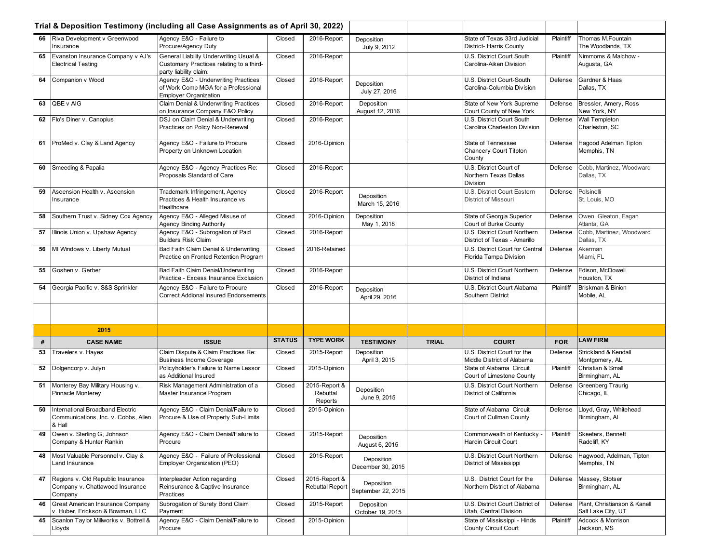|    |                                                                                    | Trial & Deposition Testimony (including all Case Assignments as of April 30, 2022)                           |               |                                         |                                  |              |                                                              |            |                                                    |
|----|------------------------------------------------------------------------------------|--------------------------------------------------------------------------------------------------------------|---------------|-----------------------------------------|----------------------------------|--------------|--------------------------------------------------------------|------------|----------------------------------------------------|
| 66 | Riva Development v Greenwood<br>Insurance                                          | Agency E&O - Failure to<br>Procure/Agency Duty                                                               | Closed        | 2016-Report                             | Deposition<br>July 9, 2012       |              | State of Texas 33rd Judicial<br>District- Harris County      | Plaintiff  | Thomas M.Fountain<br>The Woodlands, TX             |
| 65 | Evanston Insurance Company v AJ's<br><b>Electrical Testing</b>                     | General Liability Underwriting Usual &<br>Customary Practices relating to a third-<br>party liability claim. | Closed        | 2016-Report                             |                                  |              | U.S. District Court South<br>Carolina-Aiken Division         | Plaintiff  | Nimmoms & Malchow -<br>Augusta, GA                 |
| 64 | Companion v Wood                                                                   | Agency E&O - Underwriting Practices<br>of Work Comp MGA for a Professional<br><b>Employer Organization</b>   | Closed        | 2016-Report                             | Deposition<br>July 27, 2016      |              | U.S. District Court-South<br>Carolina-Columbia Division      | Defense    | Gardner & Haas<br>Dallas, TX                       |
| 63 | QBE v AIG                                                                          | <b>Claim Denial &amp; Underwriting Practices</b><br>on Insurance Company E&O Policy                          | Closed        | 2016-Report                             | Deposition<br>August 12, 2016    |              | State of New York Supreme<br>Court County of New York        | Defense    | Bressler, Amery, Ross<br>New York, NY              |
|    | 62 Flo's Diner v. Canopius                                                         | DSJ on Claim Denial & Underwriting<br>Practices on Policy Non-Renewal                                        | Closed        | 2016-Report                             |                                  |              | U.S. District Court South<br>Carolina Charleston Division    | Defense    | <b>Wall Templeton</b><br>Charleston, SC            |
| 61 | ProMed v. Clay & Land Agency                                                       | Agency E&O - Failure to Procure<br>Property on Unknown Location                                              | Closed        | 2016-Opinion                            |                                  |              | State of Tennessee<br>Chancery Court Titpton<br>County       | Defense    | Hagood Adelman Tipton<br>Memphis, TN               |
| 60 | Smeeding & Papalia                                                                 | Agency E&O - Agency Practices Re:<br>Proposals Standard of Care                                              | Closed        | 2016-Report                             |                                  |              | U.S. District Court of<br>Northern Texas Dallas<br>Division  | Defense    | Cobb, Martinez, Woodward<br>Dallas, TX             |
| 59 | Ascension Health v. Ascension<br>Insurance                                         | Trademark Infringement, Agency<br>Practices & Health Insurance vs<br>Healthcare                              | Closed        | 2016-Report                             | Deposition<br>March 15, 2016     |              | U.S. District Court Eastern<br>District of Missouri          | Defense    | Polsinelli<br>St. Louis, MO                        |
| 58 | Southern Trust v. Sidney Cox Agency                                                | Agency E&O - Alleged Misuse of<br><b>Agency Binding Authority</b>                                            | Closed        | 2016-Opinion                            | Deposition<br>May 1, 2018        |              | State of Georgia Superior<br>Court of Burke County           | Defense    | Owen, Gleaton, Eagan<br>Atlanta, GA                |
| 57 | Illinois Union v. Upshaw Agency                                                    | Agency E&O - Subrogation of Paid<br><b>Builders Risk Claim</b>                                               | Closed        | 2016-Report                             |                                  |              | U.S. District Court Northern<br>District of Texas - Amarillo | Defense    | Cobb, Martinez, Woodward<br>Dallas, TX             |
| 56 | MI Windows v. Liberty Mutual                                                       | Bad Faith Claim Denial & Underwriting<br>Practice on Fronted Retention Program                               | Closed        | 2016-Retained                           |                                  |              | U.S. District Court for Centra<br>Florida Tampa Division     | Defense    | Akerman<br>Miami, FL                               |
| 55 | Goshen v. Gerber                                                                   | Bad Faith Claim Denial/Underwriting<br>Practice - Excess Insurance Exclusion                                 | Closed        | 2016-Report                             |                                  |              | U.S. District Court Northern<br>District of Indiana          | Defense    | Edison, McDowell<br>Houston, TX                    |
| 54 | Georgia Pacific v. S&S Sprinkler                                                   | Agency E&O - Failure to Procure<br><b>Correct Addional Insured Endorsements</b>                              | Closed        | 2016-Report                             | Deposition<br>April 29, 2016     |              | U.S. District Court Alabama<br>Southern District             | Plaintiff  | Briskman & Binion<br>Mobile, AL                    |
|    |                                                                                    |                                                                                                              |               |                                         |                                  |              |                                                              |            |                                                    |
|    | 2015                                                                               |                                                                                                              |               |                                         |                                  |              |                                                              |            |                                                    |
| #  | <b>CASE NAME</b>                                                                   | <b>ISSUE</b>                                                                                                 | <b>STATUS</b> | <b>TYPE WORK</b>                        | <b>TESTIMONY</b>                 | <b>TRIAL</b> | <b>COURT</b>                                                 | <b>FOR</b> | <b>LAW FIRM</b>                                    |
| 53 | Travelers v. Hayes                                                                 | Claim Dispute & Claim Practices Re:<br><b>Business Income Coverage</b>                                       | Closed        | 2015-Report                             | Deposition<br>April 3, 2015      |              | U.S. District Court for the<br>Middle District of Alabama    | Defense    | Strickland & Kendall<br>Montgomery, AL             |
| 52 | Dolgencorp v. Julyn                                                                | Policyholder's Failure to Name Lessor<br>as Additional Insured                                               | Closed        | 2015-Opinion                            |                                  |              | State of Alabama Circuit<br>Court of Limestone County        | Plaintiff  | Christian & Small<br>Birmingham, AL                |
| 51 | Monterey Bay Military Housing v.<br><b>Pinnacle Monterey</b>                       | Risk Management Administration of a<br>Master Insurance Program                                              | Closed        | 2015-Report &<br>Rebuttal<br>Reports    | Deposition<br>June 9, 2015       |              | U.S. District Court Northern<br>District of California       | Defense    | <b>Greenberg Traurig</b><br>Chicago, IL            |
| 50 | International Broadband Electric<br>Communications, Inc. v. Cobbs, Allen<br>& Hall | Agency E&O - Claim Denial/Failure to<br>Procure & Use of Property Sub-Limits                                 | Closed        | 2015-Opinion                            |                                  |              | State of Alabama Circuit<br>Court of Cullman County          | Defense    | Lloyd, Gray, Whitehead<br>Birmingham, AL           |
| 49 | Owen v. Sterling G, Johnson<br>Company & Hunter Rankin                             | Agency E&O - Claim Denial/Failure to<br>Procure                                                              | Closed        | 2015-Report                             | Deposition<br>August 6, 2015     |              | Commonwealth of Kentucky<br>Hardin Circuit Court             | Plaintiff  | Skeeters, Bennett<br>Radcliff, KY                  |
| 48 | Most Valuable Personnel v. Clay &<br>Land Insurance                                | Agency E&O - Failure of Professional<br>Employer Organization (PEO)                                          | Closed        | 2015-Report                             | Deposition<br>December 30, 2015  |              | U.S. District Court Northern<br>District of Mississippi      | Defense    | Hagwood, Adelman, Tipton<br>Memphis, TN            |
| 47 | Regions v. Old Republic Insurance<br>Company v. Chattawood Insurance<br>Company    | Interpleader Action regarding<br>Reinsurance & Captive Insurance<br>Practices                                | Closed        | 2015-Report &<br><b>Rebuttal Report</b> | Deposition<br>September 22, 2015 |              | U.S. District Court for the<br>Northern District of Alabama  | Defense    | Massey, Stotser<br>Birmingham, AL                  |
| 46 | Great American Insurance Company<br>v. Huber, Erickson & Bowman, LLC               | Subrogation of Surety Bond Claim<br>Payment                                                                  | Closed        | 2015-Report                             | Deposition<br>October 19, 2015   |              | U.S. District Court District of<br>Utah, Central Division    | Defense    | Plant, Christianson & Kanell<br>Salt Lake City, UT |
| 45 | Scanlon Taylor Millworks v. Bottrell &<br>Lloyds                                   | Agency E&O - Claim Denial/Failure to<br>Procure                                                              | Closed        | 2015-Opinion                            |                                  |              | State of Mississippi - Hinds<br>County Circuit Court         | Plaintiff  | Adcock & Morrison<br>Jackson, MS                   |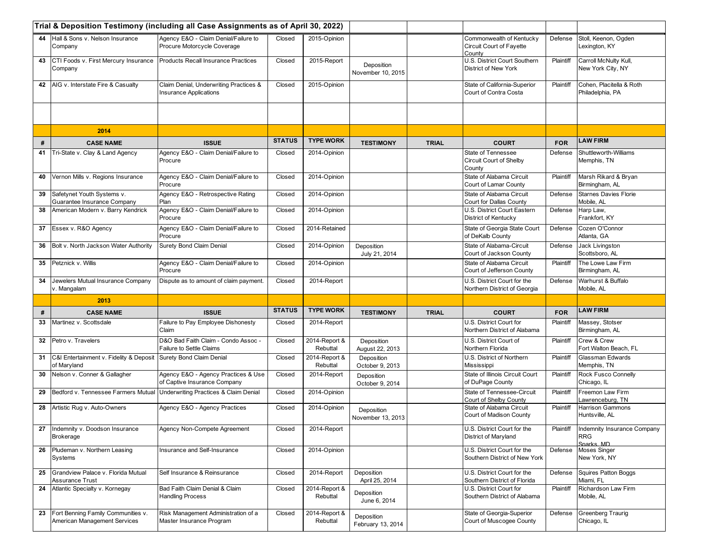|    |                                                           | Trial & Deposition Testimony (including all Case Assignments as of April 30, 2022) |               |                           |                                 |              |                                                                |            |                                                  |
|----|-----------------------------------------------------------|------------------------------------------------------------------------------------|---------------|---------------------------|---------------------------------|--------------|----------------------------------------------------------------|------------|--------------------------------------------------|
|    | 44 Hall & Sons v. Nelson Insurance<br>Company             | Agency E&O - Claim Denial/Failure to<br>Procure Motorcycle Coverage                | Closed        | 2015-Opinion              |                                 |              | Commonwealth of Kentucky<br>Circuit Court of Fayette<br>County | Defense    | Stoll, Keenon, Ogden<br>Lexington, KY            |
| 43 | CTI Foods v. First Mercury Insurance<br>Company           | <b>Products Recall Insurance Practices</b>                                         | Closed        | 2015-Report               | Deposition<br>November 10, 2015 |              | U.S. District Court Southern<br><b>District of New York</b>    | Plaintiff  | Carroll McNulty Kull,<br>New York City, NY       |
| 42 | AIG v. Interstate Fire & Casualty                         | Claim Denial, Underwriting Practices &<br><b>Insurance Applications</b>            | Closed        | 2015-Opinion              |                                 |              | State of California-Superior<br>Court of Contra Costa          | Plaintiff  | Cohen. Placitella & Roth<br>Philadelphia, PA     |
|    |                                                           |                                                                                    |               |                           |                                 |              |                                                                |            |                                                  |
|    | 2014                                                      |                                                                                    |               |                           |                                 |              |                                                                |            |                                                  |
| #  | <b>CASE NAME</b>                                          | <b>ISSUE</b>                                                                       | <b>STATUS</b> | <b>TYPE WORK</b>          | <b>TESTIMONY</b>                | <b>TRIAL</b> | <b>COURT</b>                                                   | <b>FOR</b> | <b>LAW FIRM</b>                                  |
| 41 | Tri-State v. Clay & Land Agency                           | Agency E&O - Claim Denial/Failure to<br>Procure                                    | Closed        | 2014-Opinion              |                                 |              | <b>State of Tennessee</b><br>Circuit Court of Shelby<br>County | Defense    | <b>Shuttleworth-Williams</b><br>Memphis, TN      |
| 40 | Vernon Mills v. Regions Insurance                         | Agency E&O - Claim Denial/Failure to<br>Procure                                    | Closed        | 2014-Opinion              |                                 |              | State of Alabama Circuit<br>Court of Lamar County              | Plaintiff  | Marsh Rikard & Bryan<br>Birmingham, AL           |
| 39 | Safetynet Youth Systems v.<br>Guarantee Insurance Company | Agency E&O - Retrospective Rating<br>Plan                                          | Closed        | 2014-Opinion              |                                 |              | State of Alabama Circuit<br>Court for Dallas County            | Defense    | <b>Starnes Davies Florie</b><br>Mobile, AL       |
| 38 | American Modern v. Barry Kendrick                         | Agency E&O - Claim Denial/Failure to<br>Procure                                    | Closed        | 2014-Opinion              |                                 |              | U.S. District Court Eastern<br>District of Kentucky            | Defense    | Harp Law,<br>Frankfort, KY                       |
| 37 | Essex v. R&O Agency                                       | Agency E&O - Claim Denial/Failure to<br>Procure                                    | Closed        | 2014-Retained             |                                 |              | State of Georgia State Court<br>of DeKalb County               | Defense    | Cozen O'Connor<br>Atlanta, GA                    |
| 36 | Bolt v. North Jackson Water Authority                     | Surety Bond Claim Denial                                                           | Closed        | 2014-Opinion              | Deposition<br>July 21, 2014     |              | State of Alabama-Circuit<br>Court of Jackson County            | Defense    | Jack Livingston<br>Scottsboro, AL                |
| 35 | Petznick v. Willis                                        | Agency E&O - Claim Denial/Failure to<br>Procure                                    | Closed        | 2014-Opinion              |                                 |              | State of Alabama Circuit<br>Court of Jefferson County          | Plaintiff  | The Lowe Law Firm<br>Birmingham, AL              |
| 34 | Jewelers Mutual Insurance Company<br>v. Mangalam          | Dispute as to amount of claim payment.                                             | Closed        | 2014-Report               |                                 |              | U.S. District Court for the<br>Northern District of Georgia    | Defense    | Warhurst & Buffalo<br>Mobile, AL                 |
|    | 2013                                                      |                                                                                    |               |                           |                                 |              |                                                                |            |                                                  |
| #  | <b>CASE NAME</b>                                          | <b>ISSUE</b>                                                                       | <b>STATUS</b> | <b>TYPE WORK</b>          | <b>TESTIMONY</b>                | <b>TRIAL</b> | <b>COURT</b>                                                   | <b>FOR</b> | <b>LAW FIRM</b>                                  |
| 33 | Martinez v. Scottsdale                                    | Failure to Pay Employee Dishonesty<br>Claim                                        | Closed        | 2014-Report               |                                 |              | U.S. District Court for<br>Northern District of Alabama        | Plaintiff  | Massey, Stotser<br>Birmingham, AL                |
| 32 | Petro v. Travelers                                        | D&O Bad Faith Claim - Condo Assoc -<br>Failure to Settle Claims                    | Closed        | 2014-Report &<br>Rebuttal | Deposition<br>August 22, 2013   |              | U.S. District Court of<br>Northern Florida                     | Plaintiff  | Crew & Crew<br>Fort Walton Beach, FL             |
| 31 | C&I Entertainment v. Fidelity & Deposit<br>of Maryland    | Surety Bond Claim Denial                                                           | Closed        | 2014-Report &<br>Rebuttal | Deposition<br>October 9, 2013   |              | U.S. District of Northern<br>Mississippi                       | Plaintiff  | Glassman Edwards<br>Memphis, TN                  |
| 30 | Nelson v. Conner & Gallagher                              | Agency E&O - Agency Practices & Use<br>of Captive Insurance Company                | Closed        | 2014-Report               | Deposition<br>October 9, 2014   |              | State of Illinois Circuit Court<br>of DuPage County            | Plaintiff  | Rock Fusco Connelly<br>Chicago, IL               |
| 29 | Bedford v. Tennessee Farmers Mutual                       | Underwriting Practices & Claim Denial                                              | Closed        | 2014-Opinion              |                                 |              | State of Tennessee-Circuit<br>Court of Shelby County           | Plaintiff  | Freemon Law Firm<br>Lawrenceburg, TN             |
| 28 | Artistic Rug v. Auto-Owners                               | Agency E&O - Agency Practices                                                      | Closed        | 2014-Opinion              | Deposition<br>November 13, 2013 |              | State of Alabama Circuit<br>Court of Madison County            | Plaintiff  | Harrison Gammons<br>Huntsville, AL               |
|    | 27   Indemnity v. Doodson Insurance                       | Agency Non-Compete Agreement                                                       | Closed        | 2014-Report               |                                 |              | U.S. District Court for the<br>District of Maryland            | Plaintiff  | Indemnity Insurance Company<br><b>RRG</b>        |
|    | Brokerage                                                 |                                                                                    |               |                           |                                 |              |                                                                |            |                                                  |
| 26 | Pludeman v. Northern Leasing<br>Systems                   | Insurance and Self-Insurance                                                       | Closed        | 2014-Opinion              |                                 |              | U.S. District Court for the<br>Southern District of New York   | Defense    | Sparks MD<br><b>Moses Singer</b><br>New York, NY |
| 25 | Grandview Palace v. Florida Mutual<br>Assurance Trust     | Self Insurance & Reinsurance                                                       | Closed        | 2014-Report               | Deposition<br>April 25, 2014    |              | U.S. District Court for the<br>Southern District of Florida    | Defense    | Squires Patton Boggs<br>Miami, FL                |
| 24 | Atlantic Specialty v. Kornegay                            | Bad Faith Claim Denial & Claim<br><b>Handling Process</b>                          | Closed        | 2014-Report &<br>Rebuttal | Deposition<br>June 6, 2014      |              | U.S. District Court for<br>Southern District of Alabama        | Plaintiff  | Richardson Law Firm<br>Mobile, AL                |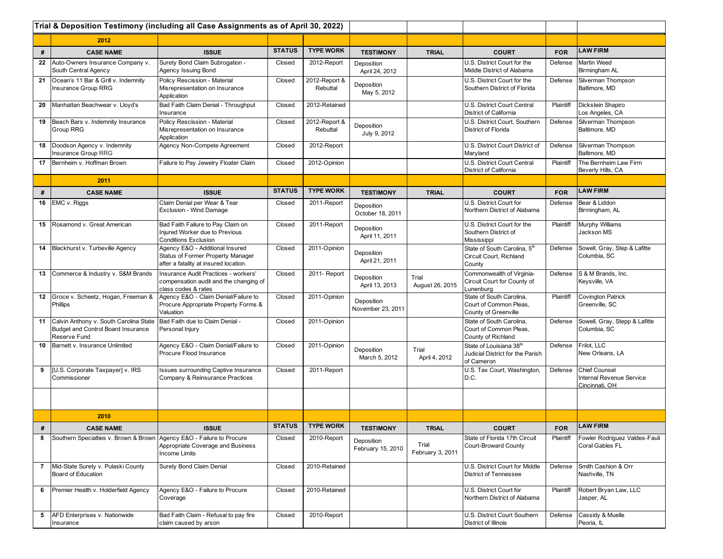|                   |                                                                                                 | Trial & Deposition Testimony (including all Case Assignments as of April 30, 2022)                            |               |                           |                                 |                           |                                                                                       |            |                                                                    |
|-------------------|-------------------------------------------------------------------------------------------------|---------------------------------------------------------------------------------------------------------------|---------------|---------------------------|---------------------------------|---------------------------|---------------------------------------------------------------------------------------|------------|--------------------------------------------------------------------|
|                   | 2012                                                                                            |                                                                                                               |               |                           |                                 |                           |                                                                                       |            |                                                                    |
| #                 | <b>CASE NAME</b>                                                                                | <b>ISSUE</b>                                                                                                  | <b>STATUS</b> | <b>TYPE WORK</b>          | <b>TESTIMONY</b>                | <b>TRIAL</b>              | <b>COURT</b>                                                                          | <b>FOR</b> | <b>LAW FIRM</b>                                                    |
| 22                | Auto-Owners Insurance Company v.<br>South Central Agency                                        | Surety Bond Claim Subrogation -<br>Agency Issuing Bond                                                        | Closed        | 2012-Report               | Deposition<br>April 24, 2012    |                           | U.S. District Court for the<br>Middle District of Alabama                             | Defense    | <b>Martin Weed</b><br>Birmingham AL                                |
| 21                | Ocean's 11 Bar & Grill v. Indemnity<br>Insurance Group RRG                                      | Policy Rescission - Material<br>Misrepresentation on Insurance<br>Application                                 | Closed        | 2012-Report &<br>Rebuttal | Deposition<br>May 5, 2012       |                           | U.S. District Court for the<br>Southern District of Florida                           | Defense    | Silverman Thompson<br>Baltimore, MD                                |
| 20                | Manhattan Beachwear v. Lloyd's                                                                  | Bad Faith Claim Denial - Throughput<br>Insurance                                                              | Closed        | 2012-Retained             |                                 |                           | U.S. District Court Central<br>District of California                                 | Plaintiff  | Dickstein Shapiro<br>Los Angeles, CA                               |
| 19                | Beach Bars v. Indemnity Insurance<br>Group RRG                                                  | Policy Rescission - Material<br>Misrepresentation on Insurance<br>Application                                 | Closed        | 2012-Report &<br>Rebuttal | Deposition<br>July 9, 2012      |                           | U.S. District Court, Southern<br>District of Florida                                  | Defense    | Silverman Thompson<br>Baltimore, MD                                |
| 18                | Doodson Agency v. Indemnity<br>Insurance Group RRG                                              | Agency Non-Compete Agreement                                                                                  | Closed        | 2012-Report               |                                 |                           | U.S. District Court District of<br>Maryland                                           | Defense    | Silverman Thompson<br>Baltimore, MD                                |
| 17                | Bernheim v. Hoffman Brown                                                                       | Failure to Pay Jewelry Floater Claim                                                                          | Closed        | 2012-Opinion              |                                 |                           | U.S. District Court Central<br>District of California                                 | Plaintiff  | The Bernheim Law Firm<br>Beverly Hills, CA                         |
|                   | 2011                                                                                            |                                                                                                               |               |                           |                                 |                           |                                                                                       |            |                                                                    |
| #                 | <b>CASE NAME</b>                                                                                | <b>ISSUE</b>                                                                                                  | <b>STATUS</b> | <b>TYPE WORK</b>          | <b>TESTIMONY</b>                | <b>TRIAL</b>              | <b>COURT</b>                                                                          | <b>FOR</b> | <b>LAW FIRM</b>                                                    |
|                   | 16 EMC v. Riggs                                                                                 | Claim Denial per Wear & Tear<br>Exclusion - Wind Damage                                                       | Closed        | 2011-Report               | Deposition<br>October 18, 2011  |                           | U.S. District Court for<br>Northern District of Alabama                               | Defense    | Bear & Liddon<br>Birmingham, AL                                    |
|                   | 15 Rosamond v. Great American                                                                   | Bad Faith Failure to Pay Claim on<br>Injured Worker due to Previous<br><b>Conditions Exclusion</b>            | Closed        | 2011-Report               | Deposition<br>April 11, 2011    |                           | U.S. District Court for the<br>Southern District of<br>Mississippi                    | Plaintiff  | <b>Murphy Williams</b><br>Jackson MS                               |
|                   | 14   Blackhurst v. Turbeville Agency                                                            | Agency E&O - Additional Insured<br>Status of Former Property Manager<br>after a fatality at insured location. | Closed        | 2011-Opinion              | Deposition<br>April 21, 2011    |                           | State of South Carolina, 5th<br>Circuit Court, Richland<br>County                     | Defense    | Sowell, Gray, Step & Lafitte<br>Columbia, SC                       |
| 13                | Commerce & Industry v. S&M Brands                                                               | Insurance Audit Practices - workers'<br>compensation audit and the changing of<br>class codes & rates         | Closed        | 2011- Report              | Deposition<br>April 13, 2013    | Trial<br>August 26, 2015  | Commonwealth of Virginia-<br>Circuit Court for County of<br>Lunenburg                 | Defense    | S & M Brands, Inc.<br>Keysville, VA                                |
|                   | 12 Groce v. Scheetz, Hogan, Freeman &<br>Phillips                                               | Agency E&O - Claim Denial/Failure to<br>Procure Appropriate Property Forms &<br>Valuation                     | Closed        | 2011-Opinion              | Deposition<br>November 23, 2011 |                           | State of South Carolina,<br>Court of Common Pleas,<br>County of Greenville            | Plaintiff  | <b>Covington Patrick</b><br>Greenville, SC                         |
|                   | 11 Calvin Anthony v. South Carolina State<br>Budget and Control Board Insurance<br>Reserve Fund | Bad Faith due to Claim Denial -<br>Personal Injury                                                            | Closed        | 2011-Opinion              |                                 |                           | State of South Carolina.<br>Court of Common Pleas,<br>County of Richland              | Defense    | Sowell, Gray, Stepp & Lafitte<br>Columbia, SC                      |
| 10                | Barnett v. Insurance Unlimited                                                                  | Agency E&O - Claim Denial/Failure to<br>Procure Flood Insurance                                               | Closed        | 2011-Opinion              | Deposition<br>March 5, 2012     | Trial<br>April 4, 2012    | State of Louisiana 38 <sup>th</sup><br>Judicial District for the Parish<br>of Cameron | Defense    | Frilot, LLC<br>New Orleans, LA                                     |
| 9                 | [U.S. Corporate Taxpayer] v. IRS<br>Commissioner                                                | Issues surrounding Captive Insurance<br>Company & Reinsurance Practices                                       | Closed        | 2011-Report               |                                 |                           | U.S. Tax Court, Washington,<br>D.C.                                                   | Defense    | <b>Chief Counsel</b><br>Internal Revenue Service<br>Cincinnati. OH |
|                   |                                                                                                 |                                                                                                               |               |                           |                                 |                           |                                                                                       |            |                                                                    |
|                   | 2010                                                                                            |                                                                                                               |               |                           |                                 |                           |                                                                                       |            |                                                                    |
| $\boldsymbol{\#}$ | <b>CASE NAME</b>                                                                                | <b>ISSUE</b>                                                                                                  | <b>STATUS</b> | <b>TYPE WORK</b>          | <b>TESTIMONY</b>                | <b>TRIAL</b>              | <b>COURT</b>                                                                          | <b>FOR</b> | <b>LAW FIRM</b>                                                    |
| 8                 | Southern Specialties v. Brown & Brown Agency E&O - Failure to Procure                           | Appropriate Coverage and Business<br><b>Income Limits</b>                                                     | Closed        | 2010-Report               | Deposition<br>February 15, 2010 | Trial<br>February 3, 2011 | State of Florida 17th Circuit<br><b>Court-Broward County</b>                          | Plaintiff  | Fowler Rodriguez Valdes-Fauli<br>Coral Gables FL                   |
|                   | 7 Mid-State Surety v. Pulaski County<br>Board of Education                                      | <b>Surety Bond Claim Denial</b>                                                                               | Closed        | 2010-Retained             |                                 |                           | U.S. District Court for Middle<br><b>District of Tennessee</b>                        | Defense    | Smith Cashion & Orr<br>Nashville, TN                               |
| 6                 | Premier Health v. Holderfield Agency                                                            | Agency E&O - Failure to Procure<br>Coverage                                                                   | Closed        | 2010-Retained             |                                 |                           | U.S. District Court for<br>Northern District of Alabama                               | Plaintiff  | Robert Bryan Law, LLC<br>Jasper, AL                                |
|                   | 5   AFD Enterprises v. Nationwide<br>Insurance                                                  | Bad Faith Claim - Refusal to pay fire<br>claim caused by arson                                                | Closed        | 2010-Report               |                                 |                           | U.S. District Court Southern<br>District of Illinois                                  | Defense    | Cassidy & Muelle<br>Peoria, IL                                     |